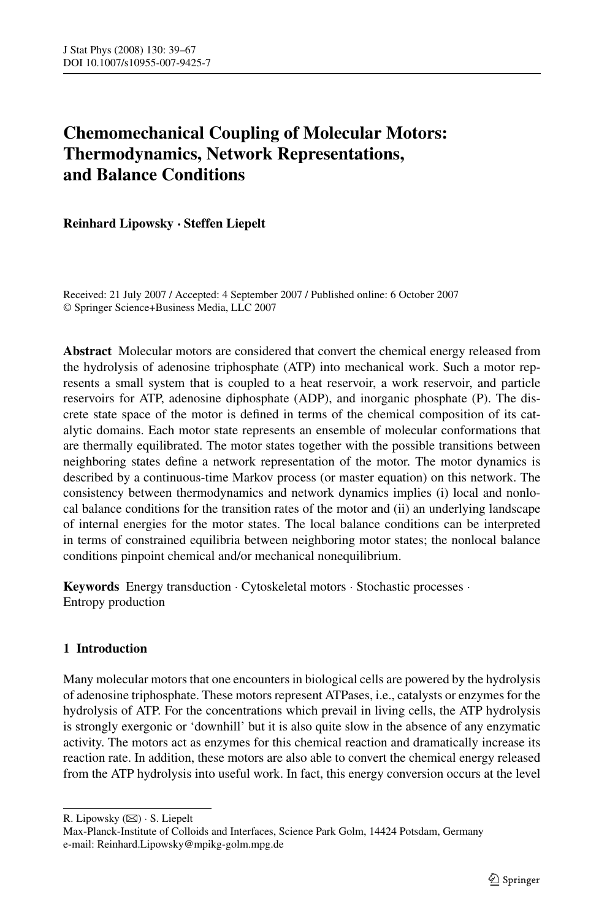# **Chemomechanical Coupling of Molecular Motors: Thermodynamics, Network Representations, and Balance Conditions**

**Reinhard Lipowsky · Steffen Liepelt**

Received: 21 July 2007 / Accepted: 4 September 2007 / Published online: 6 October 2007 © Springer Science+Business Media, LLC 2007

**Abstract** Molecular motors are considered that convert the chemical energy released from the hydrolysis of adenosine triphosphate (ATP) into mechanical work. Such a motor represents a small system that is coupled to a heat reservoir, a work reservoir, and particle reservoirs for ATP, adenosine diphosphate (ADP), and inorganic phosphate (P). The discrete state space of the motor is defined in terms of the chemical composition of its catalytic domains. Each motor state represents an ensemble of molecular conformations that are thermally equilibrated. The motor states together with the possible transitions between neighboring states define a network representation of the motor. The motor dynamics is described by a continuous-time Markov process (or master equation) on this network. The consistency between thermodynamics and network dynamics implies (i) local and nonlocal balance conditions for the transition rates of the motor and (ii) an underlying landscape of internal energies for the motor states. The local balance conditions can be interpreted in terms of constrained equilibria between neighboring motor states; the nonlocal balance conditions pinpoint chemical and/or mechanical nonequilibrium.

**Keywords** Energy transduction · Cytoskeletal motors · Stochastic processes · Entropy production

# **1 Introduction**

Many molecular motors that one encounters in biological cells are powered by the hydrolysis of adenosine triphosphate. These motors represent ATPases, i.e., catalysts or enzymes for the hydrolysis of ATP. For the concentrations which prevail in living cells, the ATP hydrolysis is strongly exergonic or 'downhill' but it is also quite slow in the absence of any enzymatic activity. The motors act as enzymes for this chemical reaction and dramatically increase its reaction rate. In addition, these motors are also able to convert the chemical energy released from the ATP hydrolysis into useful work. In fact, this energy conversion occurs at the level

R. Lipowsky (⊠) · S. Liepelt

Max-Planck-Institute of Colloids and Interfaces, Science Park Golm, 14424 Potsdam, Germany e-mail: Reinhard.Lipowsky@mpikg-golm.mpg.de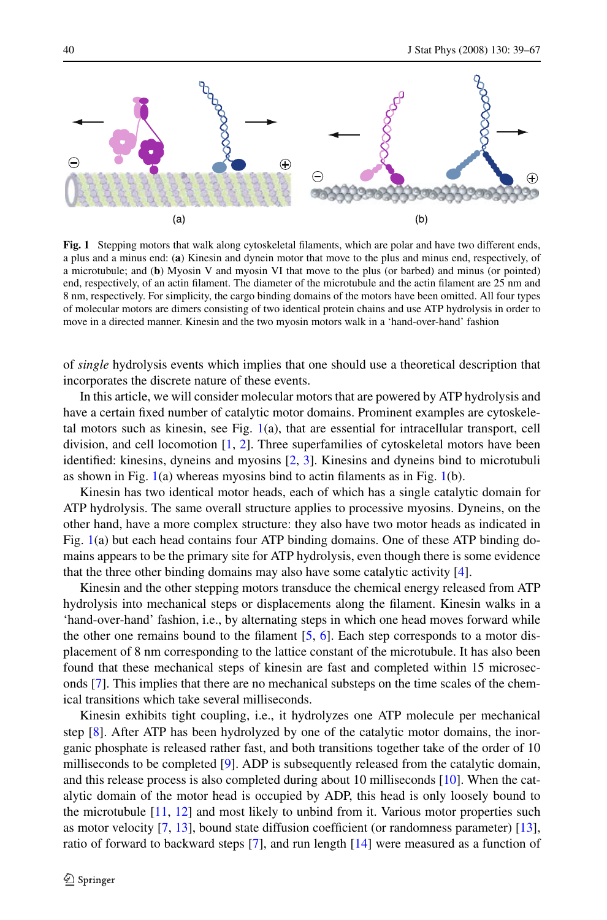

**Fig. 1** Stepping motors that walk along cytoskeletal filaments, which are polar and have two different ends, a plus and a minus end: (**a**) Kinesin and dynein motor that move to the plus and minus end, respectively, of a microtubule; and (**b**) Myosin V and myosin VI that move to the plus (or barbed) and minus (or pointed) end, respectively, of an actin filament. The diameter of the microtubule and the actin filament are 25 nm and 8 nm, respectively. For simplicity, the cargo binding domains of the motors have been omitted. All four types of molecular motors are dimers consisting of two identical protein chains and use ATP hydrolysis in order to move in a directed manner. Kinesin and the two myosin motors walk in a 'hand-over-hand' fashion

of *single* hydrolysis events which implies that one should use a theoretical description that incorporates the discrete nature of these events.

In this article, we will consider molecular motors that are powered by ATP hydrolysis and have a certain fixed number of catalytic motor domains. Prominent examples are cytoskeletal motors such as kinesin, see Fig.  $1(a)$ , that are essential for intracellular transport, cell division, and cell locomotion [[1](#page-27-0), [2](#page-27-0)]. Three superfamilies of cytoskeletal motors have been identified: kinesins, dyneins and myosins [[2](#page-27-0), [3](#page-27-0)]. Kinesins and dyneins bind to microtubuli as shown in Fig.  $1(a)$  whereas myosins bind to actin filaments as in Fig.  $1(b)$ .

Kinesin has two identical motor heads, each of which has a single catalytic domain for ATP hydrolysis. The same overall structure applies to processive myosins. Dyneins, on the other hand, have a more complex structure: they also have two motor heads as indicated in Fig. 1(a) but each head contains four ATP binding domains. One of these ATP binding domains appears to be the primary site for ATP hydrolysis, even though there is some evidence that the three other binding domains may also have some catalytic activity [[4\]](#page-27-0).

Kinesin and the other stepping motors transduce the chemical energy released from ATP hydrolysis into mechanical steps or displacements along the filament. Kinesin walks in a 'hand-over-hand' fashion, i.e., by alternating steps in which one head moves forward while the other one remains bound to the filament  $[5, 6]$  $[5, 6]$  $[5, 6]$  $[5, 6]$  $[5, 6]$ . Each step corresponds to a motor displacement of 8 nm corresponding to the lattice constant of the microtubule. It has also been found that these mechanical steps of kinesin are fast and completed within 15 microseconds [\[7\]](#page-27-0). This implies that there are no mechanical substeps on the time scales of the chemical transitions which take several milliseconds.

Kinesin exhibits tight coupling, i.e., it hydrolyzes one ATP molecule per mechanical step [\[8](#page-27-0)]. After ATP has been hydrolyzed by one of the catalytic motor domains, the inorganic phosphate is released rather fast, and both transitions together take of the order of 10 milliseconds to be completed [[9](#page-27-0)]. ADP is subsequently released from the catalytic domain, and this release process is also completed during about 10 milliseconds [\[10\]](#page-27-0). When the catalytic domain of the motor head is occupied by ADP, this head is only loosely bound to the microtubule  $[11, 12]$  $[11, 12]$  $[11, 12]$  $[11, 12]$  $[11, 12]$  and most likely to unbind from it. Various motor properties such as motor velocity [\[7,](#page-27-0) [13](#page-27-0)], bound state diffusion coefficient (or randomness parameter) [[13](#page-27-0)], ratio of forward to backward steps [[7\]](#page-27-0), and run length [[14](#page-27-0)] were measured as a function of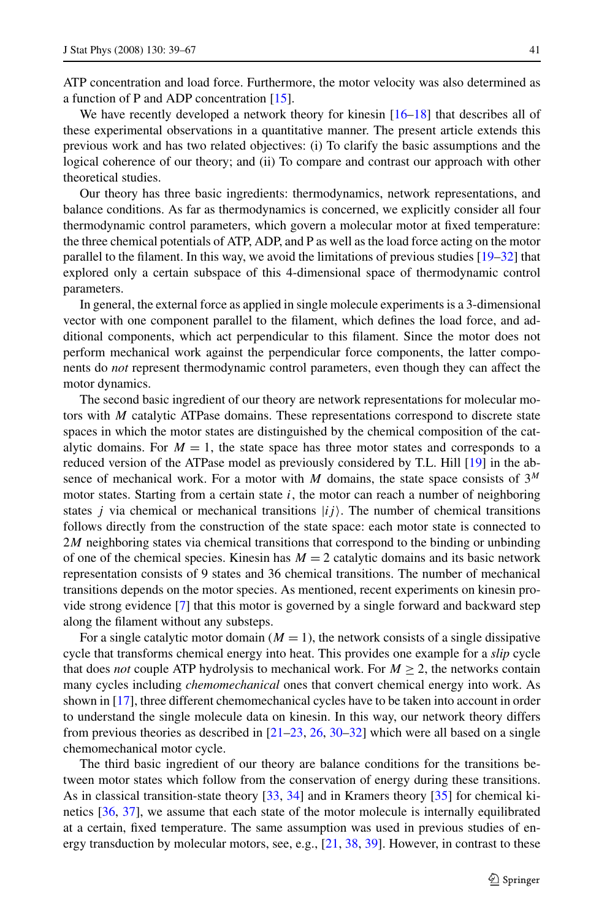ATP concentration and load force. Furthermore, the motor velocity was also determined as a function of P and ADP concentration [[15](#page-27-0)].

We have recently developed a network theory for kinesin [[16–18](#page-27-0)] that describes all of these experimental observations in a quantitative manner. The present article extends this previous work and has two related objectives: (i) To clarify the basic assumptions and the logical coherence of our theory; and (ii) To compare and contrast our approach with other theoretical studies.

Our theory has three basic ingredients: thermodynamics, network representations, and balance conditions. As far as thermodynamics is concerned, we explicitly consider all four thermodynamic control parameters, which govern a molecular motor at fixed temperature: the three chemical potentials of ATP, ADP, and P as well as the load force acting on the motor parallel to the filament. In this way, we avoid the limitations of previous studies [\[19–](#page-27-0)[32](#page-28-0)] that explored only a certain subspace of this 4-dimensional space of thermodynamic control parameters.

In general, the external force as applied in single molecule experiments is a 3-dimensional vector with one component parallel to the filament, which defines the load force, and additional components, which act perpendicular to this filament. Since the motor does not perform mechanical work against the perpendicular force components, the latter components do *not* represent thermodynamic control parameters, even though they can affect the motor dynamics.

The second basic ingredient of our theory are network representations for molecular motors with *M* catalytic ATPase domains. These representations correspond to discrete state spaces in which the motor states are distinguished by the chemical composition of the catalytic domains. For  $M = 1$ , the state space has three motor states and corresponds to a reduced version of the ATPase model as previously considered by T.L. Hill [[19](#page-27-0)] in the absence of mechanical work. For a motor with *M* domains, the state space consists of 3*<sup>M</sup>* motor states. Starting from a certain state *i*, the motor can reach a number of neighboring states *j* via chemical or mechanical transitions  $|ij\rangle$ . The number of chemical transitions follows directly from the construction of the state space: each motor state is connected to 2*M* neighboring states via chemical transitions that correspond to the binding or unbinding of one of the chemical species. Kinesin has  $M = 2$  catalytic domains and its basic network representation consists of 9 states and 36 chemical transitions. The number of mechanical transitions depends on the motor species. As mentioned, recent experiments on kinesin provide strong evidence [[7\]](#page-27-0) that this motor is governed by a single forward and backward step along the filament without any substeps.

For a single catalytic motor domain  $(M = 1)$ , the network consists of a single dissipative cycle that transforms chemical energy into heat. This provides one example for a *slip* cycle that does *not* couple ATP hydrolysis to mechanical work. For  $M \geq 2$ , the networks contain many cycles including *chemomechanical* ones that convert chemical energy into work. As shown in [[17](#page-27-0)], three different chemomechanical cycles have to be taken into account in order to understand the single molecule data on kinesin. In this way, our network theory differs from previous theories as described in [[21–23,](#page-27-0) [26,](#page-27-0) [30](#page-27-0)–[32](#page-28-0)] which were all based on a single chemomechanical motor cycle.

The third basic ingredient of our theory are balance conditions for the transitions between motor states which follow from the conservation of energy during these transitions. As in classical transition-state theory [\[33,](#page-28-0) [34](#page-28-0)] and in Kramers theory [[35](#page-28-0)] for chemical kinetics [\[36](#page-28-0), [37](#page-28-0)], we assume that each state of the motor molecule is internally equilibrated at a certain, fixed temperature. The same assumption was used in previous studies of energy transduction by molecular motors, see, e.g., [[21](#page-27-0), [38](#page-28-0), [39\]](#page-28-0). However, in contrast to these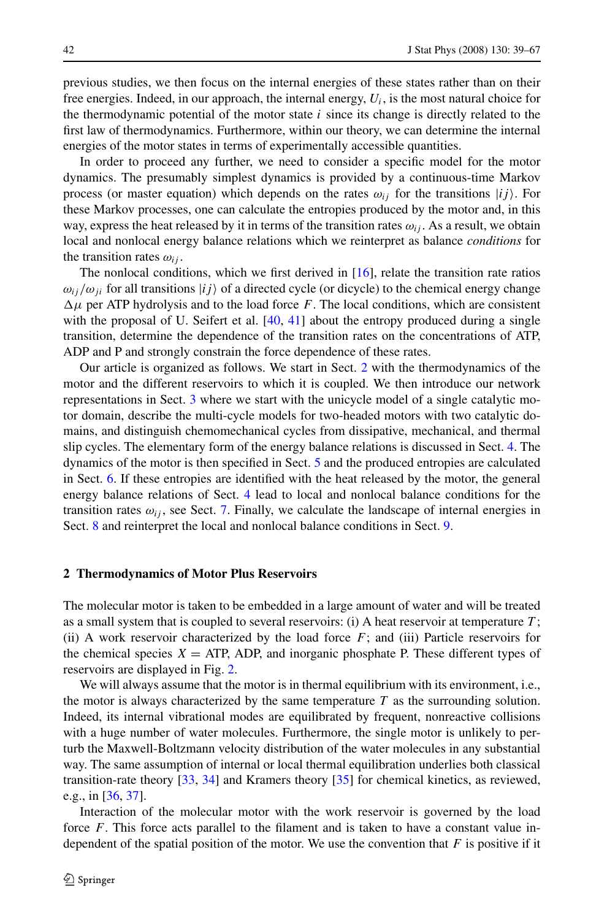<span id="page-3-0"></span>previous studies, we then focus on the internal energies of these states rather than on their free energies. Indeed, in our approach, the internal energy,  $U_i$ , is the most natural choice for the thermodynamic potential of the motor state  $i$  since its change is directly related to the first law of thermodynamics. Furthermore, within our theory, we can determine the internal energies of the motor states in terms of experimentally accessible quantities.

In order to proceed any further, we need to consider a specific model for the motor dynamics. The presumably simplest dynamics is provided by a continuous-time Markov process (or master equation) which depends on the rates  $\omega_{ij}$  for the transitions  $|ij\rangle$ . For these Markov processes, one can calculate the entropies produced by the motor and, in this way, express the heat released by it in terms of the transition rates  $\omega_{ij}$ . As a result, we obtain local and nonlocal energy balance relations which we reinterpret as balance *conditions* for the transition rates  $\omega_{ii}$ .

The nonlocal conditions, which we first derived in [\[16\]](#page-27-0), relate the transition rate ratios  $\omega_{ij}/\omega_{ji}$  for all transitions  $|ij\rangle$  of a directed cycle (or dicycle) to the chemical energy change  $\Delta \mu$  per ATP hydrolysis and to the load force *F*. The local conditions, which are consistent with the proposal of U. Seifert et al.  $[40, 41]$  $[40, 41]$  $[40, 41]$  $[40, 41]$  $[40, 41]$  about the entropy produced during a single transition, determine the dependence of the transition rates on the concentrations of ATP, ADP and P and strongly constrain the force dependence of these rates.

Our article is organized as follows. We start in Sect. 2 with the thermodynamics of the motor and the different reservoirs to which it is coupled. We then introduce our network representations in Sect. [3](#page-5-0) where we start with the unicycle model of a single catalytic motor domain, describe the multi-cycle models for two-headed motors with two catalytic domains, and distinguish chemomechanical cycles from dissipative, mechanical, and thermal slip cycles. The elementary form of the energy balance relations is discussed in Sect. [4](#page-8-0). The dynamics of the motor is then specified in Sect. [5](#page-11-0) and the produced entropies are calculated in Sect. [6](#page-12-0). If these entropies are identified with the heat released by the motor, the general energy balance relations of Sect. [4](#page-8-0) lead to local and nonlocal balance conditions for the transition rates  $\omega_{ij}$ , see Sect. [7](#page-15-0). Finally, we calculate the landscape of internal energies in Sect. [8](#page-17-0) and reinterpret the local and nonlocal balance conditions in Sect. [9](#page-19-0).

#### **2 Thermodynamics of Motor Plus Reservoirs**

The molecular motor is taken to be embedded in a large amount of water and will be treated as a small system that is coupled to several reservoirs: (i) A heat reservoir at temperature *T* ; (ii) A work reservoir characterized by the load force  $F$ ; and (iii) Particle reservoirs for the chemical species  $X = ATP$ , ADP, and inorganic phosphate P. These different types of reservoirs are displayed in Fig. [2.](#page-4-0)

We will always assume that the motor is in thermal equilibrium with its environment, i.e., the motor is always characterized by the same temperature  $T$  as the surrounding solution. Indeed, its internal vibrational modes are equilibrated by frequent, nonreactive collisions with a huge number of water molecules. Furthermore, the single motor is unlikely to perturb the Maxwell-Boltzmann velocity distribution of the water molecules in any substantial way. The same assumption of internal or local thermal equilibration underlies both classical transition-rate theory [[33](#page-28-0), [34\]](#page-28-0) and Kramers theory [[35](#page-28-0)] for chemical kinetics, as reviewed, e.g., in  $[36, 37]$  $[36, 37]$  $[36, 37]$ .

Interaction of the molecular motor with the work reservoir is governed by the load force *F*. This force acts parallel to the filament and is taken to have a constant value independent of the spatial position of the motor. We use the convention that *F* is positive if it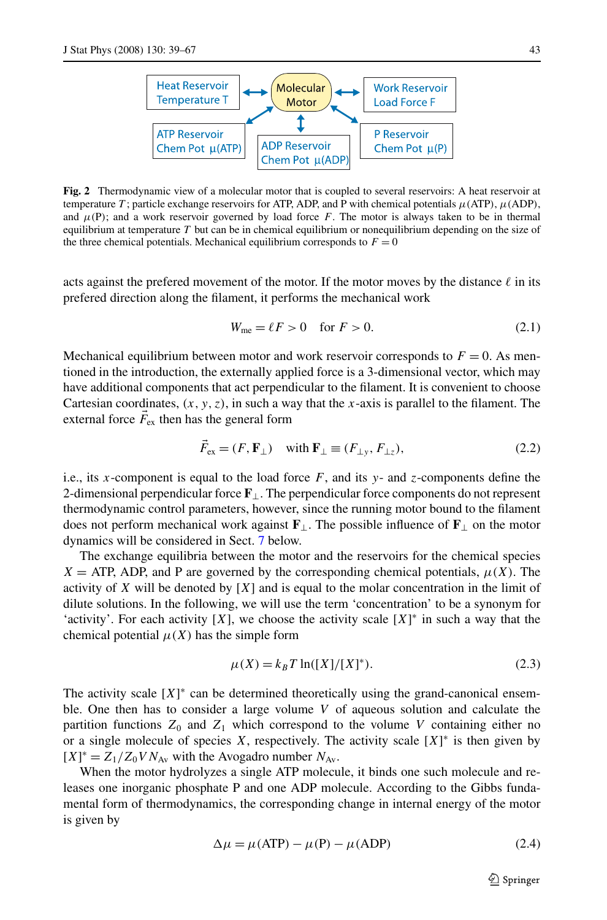<span id="page-4-0"></span>

**Fig. 2** Thermodynamic view of a molecular motor that is coupled to several reservoirs: A heat reservoir at temperature *T* ; particle exchange reservoirs for ATP, ADP, and P with chemical potentials *μ(*ATP*)*, *μ(*ADP*)*, and  $\mu(P)$ ; and a work reservoir governed by load force *F*. The motor is always taken to be in thermal equilibrium at temperature *T* but can be in chemical equilibrium or nonequilibrium depending on the size of the three chemical potentials. Mechanical equilibrium corresponds to  $F = 0$ 

acts against the prefered movement of the motor. If the motor moves by the distance  $\ell$  in its prefered direction along the filament, it performs the mechanical work

$$
W_{\text{me}} = \ell F > 0 \quad \text{for } F > 0. \tag{2.1}
$$

Mechanical equilibrium between motor and work reservoir corresponds to  $F = 0$ . As mentioned in the introduction, the externally applied force is a 3-dimensional vector, which may have additional components that act perpendicular to the filament. It is convenient to choose Cartesian coordinates,  $(x, y, z)$ , in such a way that the *x*-axis is parallel to the filament. The external force  $\vec{F}_{\text{ex}}$  then has the general form

$$
\vec{F}_{\text{ex}} = (F, \mathbf{F}_{\perp}) \quad \text{with } \mathbf{F}_{\perp} \equiv (F_{\perp y}, F_{\perp z}), \tag{2.2}
$$

i.e., its *x*-component is equal to the load force  $F$ , and its  $y$ - and *z*-components define the 2-dimensional perpendicular force **F**⊥. The perpendicular force components do not represent thermodynamic control parameters, however, since the running motor bound to the filament does not perform mechanical work against  $\mathbf{F}_{\perp}$ . The possible influence of  $\mathbf{F}_{\perp}$  on the motor dynamics will be considered in Sect. [7](#page-15-0) below.

The exchange equilibria between the motor and the reservoirs for the chemical species  $X = ATP$ , ADP, and P are governed by the corresponding chemical potentials,  $\mu(X)$ . The activity of *X* will be denoted by [*X*] and is equal to the molar concentration in the limit of dilute solutions. In the following, we will use the term 'concentration' to be a synonym for 'activity'. For each activity  $[X]$ , we choose the activity scale  $[X]^*$  in such a way that the chemical potential  $\mu(X)$  has the simple form

$$
\mu(X) = k_B T \ln([X]/[X]^*). \tag{2.3}
$$

The activity scale  $[X]^*$  can be determined theoretically using the grand-canonical ensemble. One then has to consider a large volume *V* of aqueous solution and calculate the partition functions  $Z_0$  and  $Z_1$  which correspond to the volume *V* containing either no or a single molecule of species  $X$ , respectively. The activity scale  $[X]^*$  is then given by  $[X]^* = Z_1/Z_0 V N_{Av}$  with the Avogadro number  $N_{Av}$ .

When the motor hydrolyzes a single ATP molecule, it binds one such molecule and releases one inorganic phosphate P and one ADP molecule. According to the Gibbs fundamental form of thermodynamics, the corresponding change in internal energy of the motor is given by

$$
\Delta \mu = \mu(\text{ATP}) - \mu(\text{P}) - \mu(\text{ADP}) \tag{2.4}
$$

 $\mathcal{D}$  Springer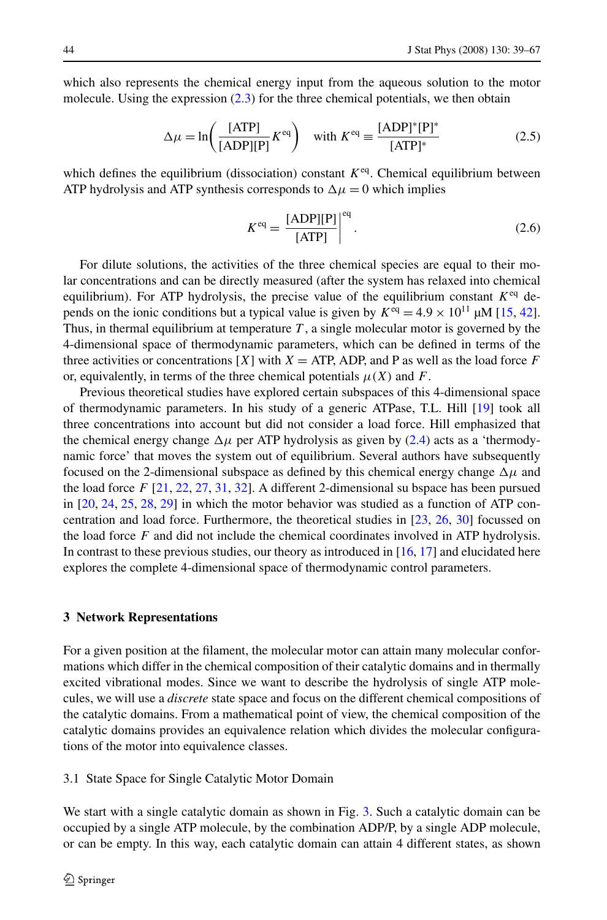<span id="page-5-0"></span>which also represents the chemical energy input from the aqueous solution to the motor molecule. Using the expression [\(2.3\)](#page-4-0) for the three chemical potentials, we then obtain

$$
\Delta \mu = \ln \left( \frac{\text{[ATP]}}{\text{[ADP]} \text{[P]}} K^{\text{eq}} \right) \quad \text{with } K^{\text{eq}} \equiv \frac{\text{[ADP]}^* \text{[P]}^*}{\text{[ATP]}^*} \tag{2.5}
$$

which defines the equilibrium (dissociation) constant  $K^{eq}$ . Chemical equilibrium between ATP hydrolysis and ATP synthesis corresponds to  $\Delta \mu = 0$  which implies

$$
K^{\text{eq}} = \frac{[\text{ADP}][\text{P}]}{[\text{ATP}]} \Big|^{\text{eq}}.
$$
 (2.6)

For dilute solutions, the activities of the three chemical species are equal to their molar concentrations and can be directly measured (after the system has relaxed into chemical equilibrium). For ATP hydrolysis, the precise value of the equilibrium constant  $K^{eq}$  depends on the ionic conditions but a typical value is given by  $K^{eq} = 4.9 \times 10^{11} \mu M$  [\[15,](#page-27-0) [42](#page-28-0)]. Thus, in thermal equilibrium at temperature *T* , a single molecular motor is governed by the 4-dimensional space of thermodynamic parameters, which can be defined in terms of the three activities or concentrations [*X*] with  $X = ATP$ , ADP, and P as well as the load force *F* or, equivalently, in terms of the three chemical potentials  $\mu(X)$  and  $F$ .

Previous theoretical studies have explored certain subspaces of this 4-dimensional space of thermodynamic parameters. In his study of a generic ATPase, T.L. Hill [\[19\]](#page-27-0) took all three concentrations into account but did not consider a load force. Hill emphasized that the chemical energy change  $\Delta \mu$  per ATP hydrolysis as given by ([2.4](#page-4-0)) acts as a 'thermodynamic force' that moves the system out of equilibrium. Several authors have subsequently focused on the 2-dimensional subspace as defined by this chemical energy change  $\Delta \mu$  and the load force *F* [\[21,](#page-27-0) [22,](#page-27-0) [27,](#page-27-0) [31](#page-28-0), [32](#page-28-0)]. A different 2-dimensional su bspace has been pursued in [\[20,](#page-27-0) [24,](#page-27-0) [25](#page-27-0), [28](#page-27-0), [29\]](#page-27-0) in which the motor behavior was studied as a function of ATP concentration and load force. Furthermore, the theoretical studies in [[23](#page-27-0), [26,](#page-27-0) [30\]](#page-27-0) focussed on the load force *F* and did not include the chemical coordinates involved in ATP hydrolysis. In contrast to these previous studies, our theory as introduced in [[16](#page-27-0), [17](#page-27-0)] and elucidated here explores the complete 4-dimensional space of thermodynamic control parameters.

#### **3 Network Representations**

For a given position at the filament, the molecular motor can attain many molecular conformations which differ in the chemical composition of their catalytic domains and in thermally excited vibrational modes. Since we want to describe the hydrolysis of single ATP molecules, we will use a *discrete* state space and focus on the different chemical compositions of the catalytic domains. From a mathematical point of view, the chemical composition of the catalytic domains provides an equivalence relation which divides the molecular configurations of the motor into equivalence classes.

3.1 State Space for Single Catalytic Motor Domain

We start with a single catalytic domain as shown in Fig. [3](#page-6-0). Such a catalytic domain can be occupied by a single ATP molecule, by the combination ADP/P, by a single ADP molecule, or can be empty. In this way, each catalytic domain can attain 4 different states, as shown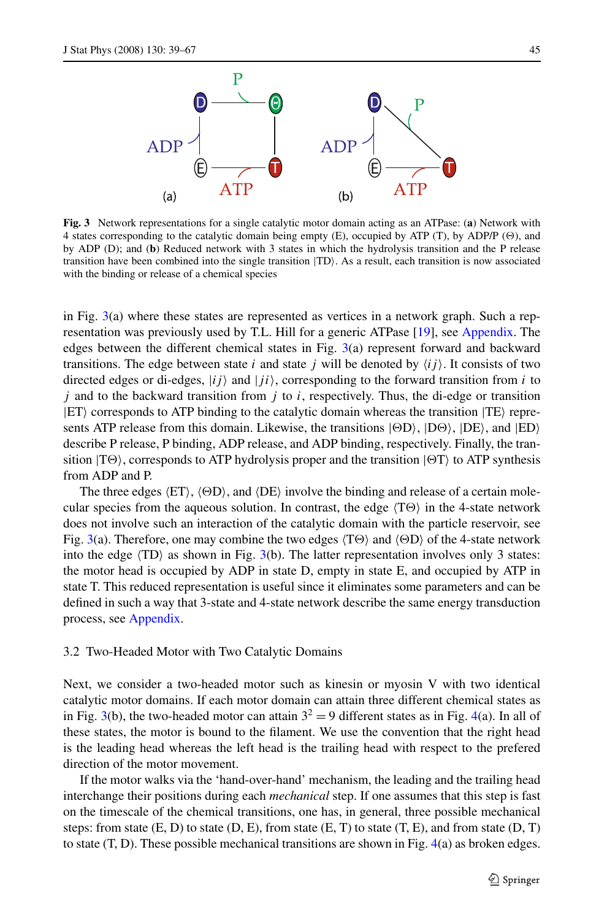<span id="page-6-0"></span>

**Fig. 3** Network representations for a single catalytic motor domain acting as an ATPase: (**a**) Network with 4 states corresponding to the catalytic domain being empty (E), occupied by ATP (T), by ADP/P ( $\Theta$ ), and by ADP (D); and (**b**) Reduced network with 3 states in which the hydrolysis transition and the P release transition have been combined into the single transition  $|TD\rangle$ . As a result, each transition is now associated with the binding or release of a chemical species

in Fig. 3(a) where these states are represented as vertices in a network graph. Such a representation was previously used by T.L. Hill for a generic ATPase [\[19\]](#page-27-0), see [Appendix.](#page-24-0) The edges between the different chemical states in Fig. 3(a) represent forward and backward transitions. The edge between state *i* and state *j* will be denoted by  $\langle ij \rangle$ . It consists of two directed edges or di-edges,  $|ij\rangle$  and  $|ji\rangle$ , corresponding to the forward transition from *i* to *j* and to the backward transition from *j* to *i*, respectively. Thus, the di-edge or transition  $|ET\rangle$  corresponds to ATP binding to the catalytic domain whereas the transition  $|TE\rangle$  represents ATP release from this domain. Likewise, the transitions  $|\Theta D\rangle$ ,  $|D\Theta\rangle$ ,  $|DE\rangle$ , and  $|ED\rangle$ describe P release, P binding, ADP release, and ADP binding, respectively. Finally, the transition  $|T\Theta\rangle$ , corresponds to ATP hydrolysis proper and the transition  $|\Theta T\rangle$  to ATP synthesis from ADP and P.

The three edges  $\langle ET \rangle$ ,  $\langle OD \rangle$ , and  $\langle DE \rangle$  involve the binding and release of a certain molecular species from the aqueous solution. In contrast, the edge  $\langle T\Theta \rangle$  in the 4-state network does not involve such an interaction of the catalytic domain with the particle reservoir, see Fig. 3(a). Therefore, one may combine the two edges  $\langle T\Theta \rangle$  and  $\langle \Theta D \rangle$  of the 4-state network into the edge  $\langle TD \rangle$  as shown in Fig. 3(b). The latter representation involves only 3 states: the motor head is occupied by ADP in state D, empty in state E, and occupied by ATP in state T. This reduced representation is useful since it eliminates some parameters and can be defined in such a way that 3-state and 4-state network describe the same energy transduction process, see [Appendix.](#page-24-0)

#### 3.2 Two-Headed Motor with Two Catalytic Domains

Next, we consider a two-headed motor such as kinesin or myosin V with two identical catalytic motor domains. If each motor domain can attain three different chemical states as in Fig. 3(b), the two-headed motor can attain  $3^2 = 9$  different states as in Fig. [4](#page-7-0)(a). In all of these states, the motor is bound to the filament. We use the convention that the right head is the leading head whereas the left head is the trailing head with respect to the prefered direction of the motor movement.

If the motor walks via the 'hand-over-hand' mechanism, the leading and the trailing head interchange their positions during each *mechanical* step. If one assumes that this step is fast on the timescale of the chemical transitions, one has, in general, three possible mechanical steps: from state  $(E, D)$  to state  $(D, E)$ , from state  $(E, T)$  to state  $(T, E)$ , and from state  $(D, T)$ to state (T, D). These possible mechanical transitions are shown in Fig. [4\(](#page-7-0)a) as broken edges.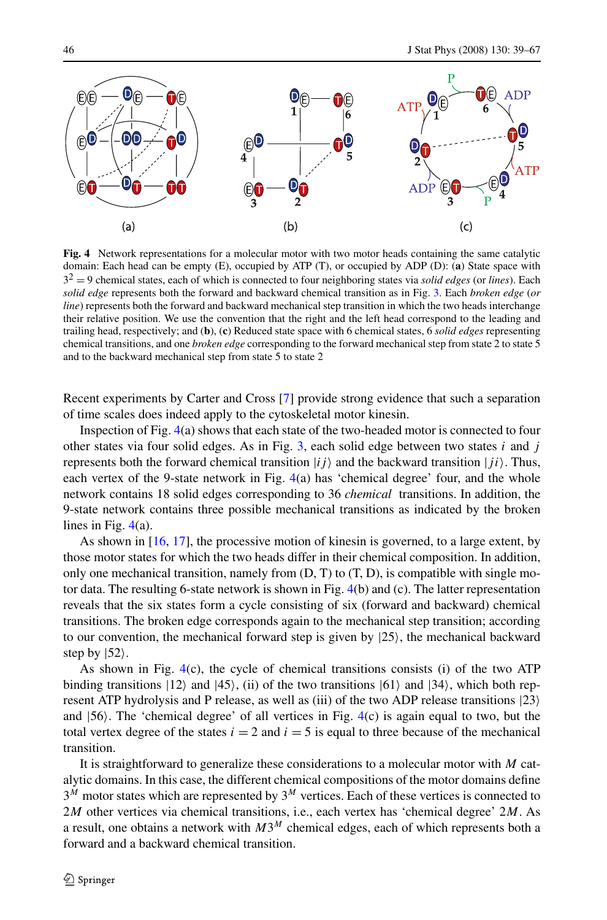<span id="page-7-0"></span>

**Fig. 4** Network representations for a molecular motor with two motor heads containing the same catalytic domain: Each head can be empty (E), occupied by ATP (T), or occupied by ADP (D): (**a**) State space with 32 = 9 chemical states, each of which is connected to four neighboring states via *solid edges* (or *lines*). Each *solid edge* represents both the forward and backward chemical transition as in Fig. [3](#page-6-0). Each *broken edge* (*or line*) represents both the forward and backward mechanical step transition in which the two heads interchange their relative position. We use the convention that the right and the left head correspond to the leading and trailing head, respectively; and (**b**), (**c**) Reduced state space with 6 chemical states, 6 *solid edges* representing chemical transitions, and one *broken edge* corresponding to the forward mechanical step from state 2 to state 5 and to the backward mechanical step from state 5 to state 2

Recent experiments by Carter and Cross [\[7\]](#page-27-0) provide strong evidence that such a separation of time scales does indeed apply to the cytoskeletal motor kinesin.

Inspection of Fig. 4(a) shows that each state of the two-headed motor is connected to four other states via four solid edges. As in Fig. [3,](#page-6-0) each solid edge between two states *i* and *j* represents both the forward chemical transition  $|i j \rangle$  and the backward transition  $|j i \rangle$ . Thus, each vertex of the 9-state network in Fig. 4(a) has 'chemical degree' four, and the whole network contains 18 solid edges corresponding to 36 *chemical* transitions. In addition, the 9-state network contains three possible mechanical transitions as indicated by the broken lines in Fig. 4(a).

As shown in [[16](#page-27-0), [17](#page-27-0)], the processive motion of kinesin is governed, to a large extent, by those motor states for which the two heads differ in their chemical composition. In addition, only one mechanical transition, namely from  $(D, T)$  to  $(T, D)$ , is compatible with single motor data. The resulting 6-state network is shown in Fig.  $4(b)$  and (c). The latter representation reveals that the six states form a cycle consisting of six (forward and backward) chemical transitions. The broken edge corresponds again to the mechanical step transition; according to our convention, the mechanical forward step is given by  $|25\rangle$ , the mechanical backward step by  $|52\rangle$ .

As shown in Fig.  $4(c)$ , the cycle of chemical transitions consists (i) of the two ATP binding transitions  $|12\rangle$  and  $|45\rangle$ , (ii) of the two transitions  $|61\rangle$  and  $|34\rangle$ , which both represent ATP hydrolysis and P release, as well as (iii) of the two ADP release transitions  $|23\rangle$ and  $|56\rangle$ . The 'chemical degree' of all vertices in Fig.  $4(c)$  is again equal to two, but the total vertex degree of the states  $i = 2$  and  $i = 5$  is equal to three because of the mechanical transition.

It is straightforward to generalize these considerations to a molecular motor with *M* catalytic domains. In this case, the different chemical compositions of the motor domains define 3*<sup>M</sup>* motor states which are represented by 3*<sup>M</sup>* vertices. Each of these vertices is connected to 2*M* other vertices via chemical transitions, i.e., each vertex has 'chemical degree' 2*M*. As a result, one obtains a network with *M*3*<sup>M</sup>* chemical edges, each of which represents both a forward and a backward chemical transition.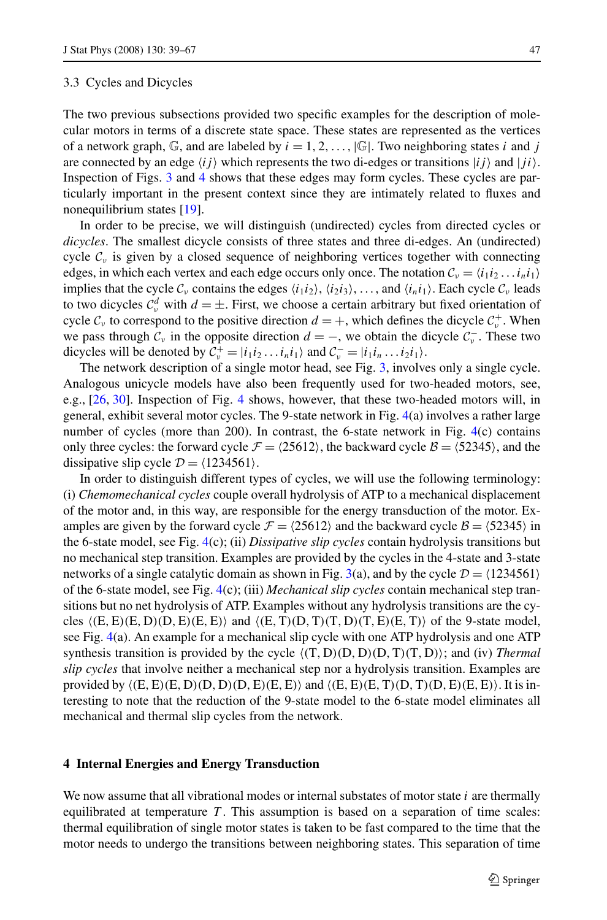<span id="page-8-0"></span>The two previous subsections provided two specific examples for the description of molecular motors in terms of a discrete state space. These states are represented as the vertices of a network graph,  $\mathbb{G}$ , and are labeled by  $i = 1, 2, \ldots$ ,  $|\mathbb{G}|$ . Two neighboring states *i* and *j* are connected by an edge  $\langle ij \rangle$  which represents the two di-edges or transitions  $\langle ij \rangle$  and  $\langle ji \rangle$ . Inspection of Figs. [3](#page-6-0) and [4](#page-7-0) shows that these edges may form cycles. These cycles are particularly important in the present context since they are intimately related to fluxes and nonequilibrium states [\[19\]](#page-27-0).

In order to be precise, we will distinguish (undirected) cycles from directed cycles or *dicycles*. The smallest dicycle consists of three states and three di-edges. An (undirected) cycle  $\mathcal{C}_v$  is given by a closed sequence of neighboring vertices together with connecting edges, in which each vertex and each edge occurs only once. The notation  $C_v = \langle i_1 i_2 ... i_n i_1 \rangle$ implies that the cycle  $C_\nu$  contains the edges  $\langle i_1 i_2 \rangle$ ,  $\langle i_2 i_3 \rangle$ , ..., and  $\langle i_n i_1 \rangle$ . Each cycle  $C_\nu$  leads to two dicycles  $C_v^d$  with  $d = \pm$ . First, we choose a certain arbitrary but fixed orientation of cycle  $C_v$  to correspond to the positive direction  $d = +$ , which defines the dicycle  $C_v^+$ . When we pass through  $C_v$  in the opposite direction  $d = -$ , we obtain the dicycle  $C_v^-$ . These two dicycles will be denoted by  $C_v^+ = |i_1 i_2 ... i_n i_1\rangle$  and  $C_v^- = |i_1 i_n ... i_2 i_1\rangle$ .

The network description of a single motor head, see Fig. [3,](#page-6-0) involves only a single cycle. Analogous unicycle models have also been frequently used for two-headed motors, see, e.g., [\[26,](#page-27-0) [30](#page-27-0)]. Inspection of Fig. [4](#page-7-0) shows, however, that these two-headed motors will, in general, exhibit several motor cycles. The 9-state network in Fig. [4](#page-7-0)(a) involves a rather large number of cycles (more than 200). In contrast, the 6-state network in Fig. [4\(](#page-7-0)c) contains only three cycles: the forward cycle  $\mathcal{F} = \langle 25612 \rangle$ , the backward cycle  $\mathcal{B} = \langle 52345 \rangle$ , and the dissipative slip cycle  $\mathcal{D} = \langle 1234561 \rangle$ .

In order to distinguish different types of cycles, we will use the following terminology: (i) *Chemomechanical cycles* couple overall hydrolysis of ATP to a mechanical displacement of the motor and, in this way, are responsible for the energy transduction of the motor. Examples are given by the forward cycle  $\mathcal{F} = \langle 25612 \rangle$  and the backward cycle  $\mathcal{B} = \langle 52345 \rangle$  in the 6-state model, see Fig. [4](#page-7-0)(c); (ii) *Dissipative slip cycles* contain hydrolysis transitions but no mechanical step transition. Examples are provided by the cycles in the 4-state and 3-state networks of a single catalytic domain as shown in Fig. [3](#page-6-0)(a), and by the cycle  $\mathcal{D} = \langle 1234561 \rangle$ of the 6-state model, see Fig. [4](#page-7-0)(c); (iii) *Mechanical slip cycles* contain mechanical step transitions but no net hydrolysis of ATP. Examples without any hydrolysis transitions are the cycles *(*E*,*E*)(*E*,*D*)(*D*,*E*)(*E*,*E*)*- and *(*E*,*T*)(*D*,*T*)(*T*,*D*)(*T*,*E*)(*E*,*T*)*- of the 9-state model, see Fig. [4\(](#page-7-0)a). An example for a mechanical slip cycle with one ATP hydrolysis and one ATP synthesis transition is provided by the cycle *(*T*,*D*)(*D*,*D*)(*D*,*T*)(*T*,*D*)*-; and (iv) *Thermal slip cycles* that involve neither a mechanical step nor a hydrolysis transition. Examples are provided by  $\langle (E, E)(E, D)(D, D)(D, E)(E, E) \rangle$  and  $\langle (E, E)(E, T)(D, T)(D, E)(E, E) \rangle$ . It is interesting to note that the reduction of the 9-state model to the 6-state model eliminates all mechanical and thermal slip cycles from the network.

## **4 Internal Energies and Energy Transduction**

We now assume that all vibrational modes or internal substates of motor state *i* are thermally equilibrated at temperature  $T$ . This assumption is based on a separation of time scales: thermal equilibration of single motor states is taken to be fast compared to the time that the motor needs to undergo the transitions between neighboring states. This separation of time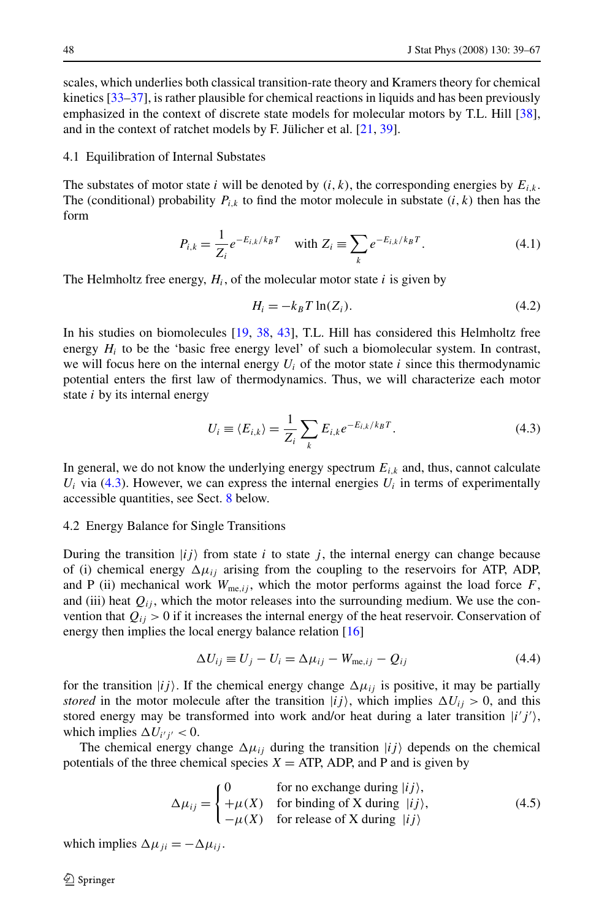<span id="page-9-0"></span>scales, which underlies both classical transition-rate theory and Kramers theory for chemical kinetics [\[33–37](#page-28-0)], is rather plausible for chemical reactions in liquids and has been previously emphasized in the context of discrete state models for molecular motors by T.L. Hill [[38](#page-28-0)], and in the context of ratchet models by F. Jülicher et al. [\[21](#page-27-0), [39\]](#page-28-0).

## 4.1 Equilibration of Internal Substates

The substates of motor state *i* will be denoted by  $(i, k)$ , the corresponding energies by  $E_{i,k}$ . The (conditional) probability  $P_{i,k}$  to find the motor molecule in substate  $(i, k)$  then has the form

$$
P_{i,k} = \frac{1}{Z_i} e^{-E_{i,k}/k_B T} \quad \text{with } Z_i \equiv \sum_k e^{-E_{i,k}/k_B T}.
$$
 (4.1)

The Helmholtz free energy,  $H_i$ , of the molecular motor state  $i$  is given by

$$
H_i = -k_B T \ln(Z_i). \tag{4.2}
$$

In his studies on biomolecules [[19](#page-27-0), [38](#page-28-0), [43\]](#page-28-0), T.L. Hill has considered this Helmholtz free energy  $H_i$  to be the 'basic free energy level' of such a biomolecular system. In contrast, we will focus here on the internal energy  $U_i$  of the motor state  $i$  since this thermodynamic potential enters the first law of thermodynamics. Thus, we will characterize each motor state *i* by its internal energy

$$
U_i \equiv \langle E_{i,k} \rangle = \frac{1}{Z_i} \sum_k E_{i,k} e^{-E_{i,k}/k_B T}.
$$
\n(4.3)

In general, we do not know the underlying energy spectrum  $E_{i,k}$  and, thus, cannot calculate  $U_i$  via (4.3). However, we can express the internal energies  $U_i$  in terms of experimentally accessible quantities, see Sect. [8](#page-17-0) below.

#### 4.2 Energy Balance for Single Transitions

During the transition  $|i j \rangle$  from state *i* to state *j*, the internal energy can change because of (i) chemical energy  $\Delta \mu_{ij}$  arising from the coupling to the reservoirs for ATP, ADP, and P (ii) mechanical work  $W_{\text{me},ij}$ , which the motor performs against the load force F, and (iii) heat  $Q_{ij}$ , which the motor releases into the surrounding medium. We use the convention that  $Q_{ij} > 0$  if it increases the internal energy of the heat reservoir. Conservation of energy then implies the local energy balance relation [\[16](#page-27-0)]

$$
\Delta U_{ij} \equiv U_j - U_i = \Delta \mu_{ij} - W_{\text{me},ij} - Q_{ij} \tag{4.4}
$$

for the transition  $|ij\rangle$ . If the chemical energy change  $\Delta \mu_{ij}$  is positive, it may be partially *stored* in the motor molecule after the transition  $|ij\rangle$ , which implies  $\Delta U_{ij} > 0$ , and this stored energy may be transformed into work and/or heat during a later transition  $|i'j'\rangle$ , which implies  $\Delta U_{i'j'} < 0$ .

The chemical energy change  $\Delta \mu_{ij}$  during the transition  $|ij\rangle$  depends on the chemical potentials of the three chemical species  $X = ATP$ , ADP, and P and is given by

$$
\Delta \mu_{ij} = \begin{cases}\n0 & \text{for no exchange during } |ij\rangle, \\
+\mu(X) & \text{for binding of X during } |ij\rangle, \\
-\mu(X) & \text{for release of X during } |ij\rangle\n\end{cases}
$$
\n(4.5)

which implies  $\Delta \mu_{ji} = -\Delta \mu_{ij}$ .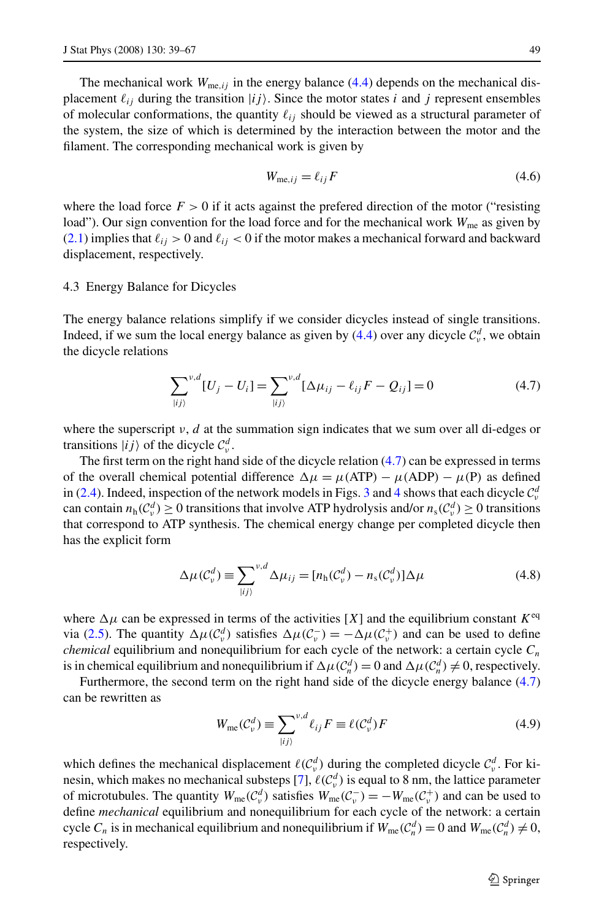<span id="page-10-0"></span>The mechanical work  $W_{me,i}$  in the energy balance [\(4.4\)](#page-9-0) depends on the mechanical displacement  $\ell_{ij}$  during the transition  $|ij\rangle$ . Since the motor states *i* and *j* represent ensembles of molecular conformations, the quantity  $\ell_{ij}$  should be viewed as a structural parameter of the system, the size of which is determined by the interaction between the motor and the filament. The corresponding mechanical work is given by

$$
W_{\text{me},ij} = \ell_{ij} F \tag{4.6}
$$

where the load force  $F > 0$  if it acts against the prefered direction of the motor ("resisting load"). Our sign convention for the load force and for the mechanical work  $W_{\text{me}}$  as given by  $(2.1)$  $(2.1)$  implies that  $\ell_{ij} > 0$  and  $\ell_{ij} < 0$  if the motor makes a mechanical forward and backward displacement, respectively.

## 4.3 Energy Balance for Dicycles

The energy balance relations simplify if we consider dicycles instead of single transitions. Indeed, if we sum the local energy balance as given by  $(4.4)$  $(4.4)$  over any dicycle  $\mathcal{C}^d_{\nu}$ , we obtain the dicycle relations

$$
\sum_{|ij\rangle}^{v,d} [U_j - U_i] = \sum_{|ij\rangle}^{v,d} [\Delta \mu_{ij} - \ell_{ij} F - Q_{ij}] = 0
$$
 (4.7)

where the superscript  $\nu$ , *d* at the summation sign indicates that we sum over all di-edges or transitions  $|ij\rangle$  of the dicycle  $C_v^d$ .

The first term on the right hand side of the dicycle relation (4.7) can be expressed in terms of the overall chemical potential difference  $\Delta \mu = \mu (ATP) - \mu (ADP) - \mu (P)$  as defined in [\(2.4](#page-4-0)). Indeed, inspection of the network models in Figs. [3](#page-6-0) and [4](#page-7-0) shows that each dicycle  $\mathcal{C}_{\nu}^d$ can contain  $n_h(\mathcal{C}^d_\nu) \ge 0$  transitions that involve ATP hydrolysis and/or  $n_s(\mathcal{C}^d_\nu) \ge 0$  transitions that correspond to ATP synthesis. The chemical energy change per completed dicycle then has the explicit form

$$
\Delta \mu(\mathcal{C}_v^d) \equiv \sum_{|ij\rangle}^{v,d} \Delta \mu_{ij} = [n_h(\mathcal{C}_v^d) - n_s(\mathcal{C}_v^d)] \Delta \mu \tag{4.8}
$$

where  $\Delta \mu$  can be expressed in terms of the activities [X] and the equilibrium constant  $K^{eq}$ via ([2.5\)](#page-5-0). The quantity  $\Delta \mu(C_v^d)$  satisfies  $\Delta \mu(C_v^-) = -\Delta \mu(C_v^+)$  and can be used to define *chemical* equilibrium and nonequilibrium for each cycle of the network: a certain cycle  $C_n$ is in chemical equilibrium and nonequilibrium if  $\Delta \mu(C_n^d) = 0$  and  $\Delta \mu(C_n^d) \neq 0$ , respectively.

Furthermore, the second term on the right hand side of the dicycle energy balance  $(4.7)$ can be rewritten as

$$
W_{\rm me}(C_v^d) \equiv \sum_{|ij\rangle}^{v,d} \ell_{ij} F \equiv \ell(C_v^d) F \tag{4.9}
$$

which defines the mechanical displacement  $\ell(C_v^d)$  during the completed dicycle  $C_v^d$ . For ki-nesin, which makes no mechanical substeps [[7](#page-27-0)],  $\ell(\mathcal{C}^d_\nu)$  is equal to 8 nm, the lattice parameter of microtubules. The quantity  $W_{\text{me}}(\mathcal{C}_{\nu}^d)$  satisfies  $W_{\text{me}}(\mathcal{C}_{\nu}^-) = -W_{\text{me}}(\mathcal{C}_{\nu}^+)$  and can be used to define *mechanical* equilibrium and nonequilibrium for each cycle of the network: a certain cycle  $C_n$  is in mechanical equilibrium and nonequilibrium if  $W_{\text{me}}(\mathcal{C}_n^d) = 0$  and  $W_{\text{me}}(\mathcal{C}_n^d) \neq 0$ , respectively.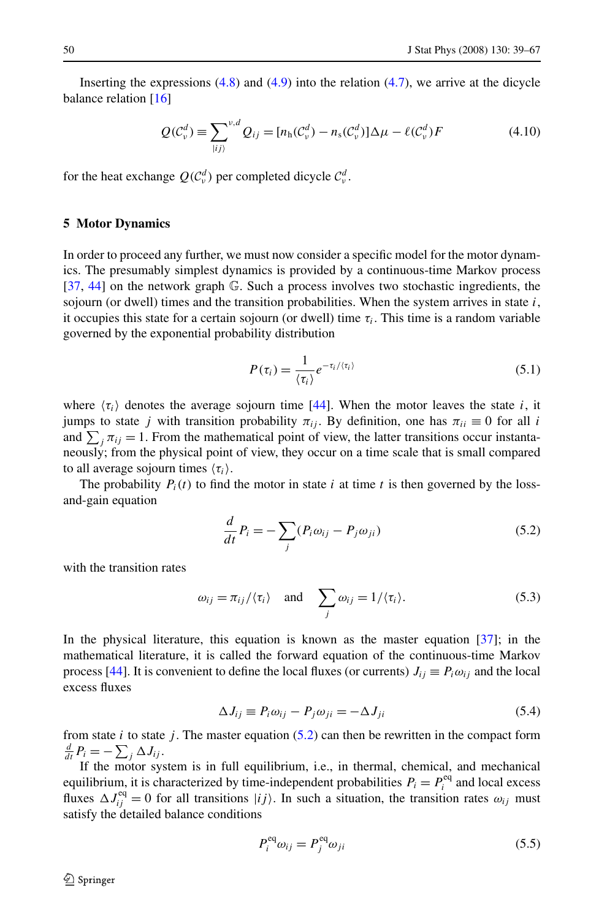<span id="page-11-0"></span>Inserting the expressions  $(4.8)$  $(4.8)$  and  $(4.9)$  $(4.9)$  into the relation  $(4.7)$  $(4.7)$ , we arrive at the dicycle balance relation [[16\]](#page-27-0)

$$
Q(\mathcal{C}_v^d) \equiv \sum_{|ij\rangle}^{v,d} Q_{ij} = [n_h(\mathcal{C}_v^d) - n_s(\mathcal{C}_v^d)]\Delta \mu - \ell(\mathcal{C}_v^d)F
$$
\n(4.10)

for the heat exchange  $Q(C_v^d)$  per completed dicycle  $C_v^d$ .

## **5 Motor Dynamics**

In order to proceed any further, we must now consider a specific model for the motor dynamics. The presumably simplest dynamics is provided by a continuous-time Markov process [[37](#page-28-0), [44](#page-28-0)] on the network graph G. Such a process involves two stochastic ingredients, the sojourn (or dwell) times and the transition probabilities. When the system arrives in state  $i$ , it occupies this state for a certain sojourn (or dwell) time  $\tau_i$ . This time is a random variable governed by the exponential probability distribution

$$
P(\tau_i) = \frac{1}{\langle \tau_i \rangle} e^{-\tau_i/\langle \tau_i \rangle} \tag{5.1}
$$

where  $\langle \tau_i \rangle$  denotes the average sojourn time [[44](#page-28-0)]. When the motor leaves the state *i*, it jumps to state *j* with transition probability  $\pi_{ij}$ . By definition, one has  $\pi_{ii} \equiv 0$  for all *i* and  $\sum_j \pi_{ij} = 1$ . From the mathematical point of view, the latter transitions occur instantaneously; from the physical point of view, they occur on a time scale that is small compared to all average sojourn times  $\langle \tau_i \rangle$ .

The probability  $P_i(t)$  to find the motor in state *i* at time *t* is then governed by the lossand-gain equation

$$
\frac{d}{dt}P_i = -\sum_j (P_i \omega_{ij} - P_j \omega_{ji})
$$
\n(5.2)

with the transition rates

$$
\omega_{ij} = \pi_{ij} / \langle \tau_i \rangle
$$
 and  $\sum_j \omega_{ij} = 1 / \langle \tau_i \rangle$ . (5.3)

In the physical literature, this equation is known as the master equation [\[37](#page-28-0)]; in the mathematical literature, it is called the forward equation of the continuous-time Markov process [\[44\]](#page-28-0). It is convenient to define the local fluxes (or currents)  $J_{ij} \equiv P_i \omega_{ij}$  and the local excess fluxes

$$
\Delta J_{ij} \equiv P_i \omega_{ij} - P_j \omega_{ji} = -\Delta J_{ji} \tag{5.4}
$$

from state  $i$  to state  $j$ . The master equation (5.2) can then be rewritten in the compact form  $\frac{d}{dt}P_i = -\sum_j \Delta J_{ij}$ .

If the motor system is in full equilibrium, i.e., in thermal, chemical, and mechanical equilibrium, it is characterized by time-independent probabilities  $P_i = P_i^{\text{eq}}$  and local excess fluxes  $\Delta J_{ij}^{\text{eq}} = 0$  for all transitions  $|ij\rangle$ . In such a situation, the transition rates  $\omega_{ij}$  must satisfy the detailed balance conditions

$$
P_i^{eq} \omega_{ij} = P_j^{eq} \omega_{ji} \tag{5.5}
$$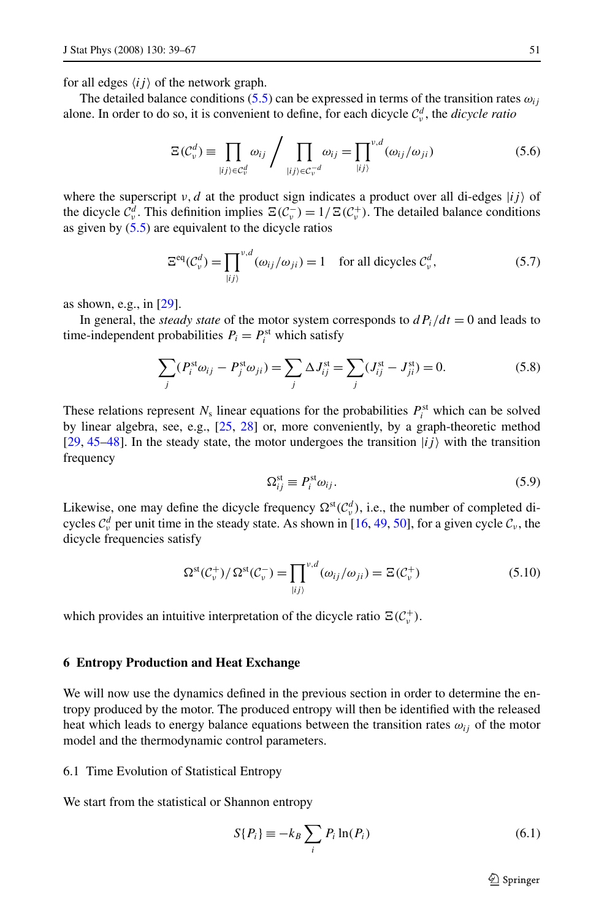<span id="page-12-0"></span>for all edges  $\langle ij \rangle$  of the network graph.

The detailed balance conditions [\(5.5](#page-11-0)) can be expressed in terms of the transition rates  $\omega_{ij}$ alone. In order to do so, it is convenient to define, for each dicycle  $\mathcal{C}^d_\nu$ , the *dicycle ratio* 

$$
\Xi(\mathcal{C}_v^d) \equiv \prod_{\vert ij \rangle \in \mathcal{C}_v^d} \omega_{ij} / \prod_{\vert ij \rangle \in \mathcal{C}_v^{-d}} \omega_{ij} = \prod_{\vert ij \rangle} v_d (\omega_{ij}/\omega_{ji}) \tag{5.6}
$$

where the superscript  $v, d$  at the product sign indicates a product over all di-edges  $|ij\rangle$  of the dicycle  $C_v^d$ . This definition implies  $\Xi(C_v^-) = 1/\Xi(C_v^+)$ . The detailed balance conditions as given by  $(5.5)$  are equivalent to the dicycle ratios

$$
\Xi^{\text{eq}}(\mathcal{C}_{\nu}^{d}) = \prod_{|ij\rangle}^{\nu,d} (\omega_{ij}/\omega_{ji}) = 1 \quad \text{for all digycles } \mathcal{C}_{\nu}^{d}, \tag{5.7}
$$

as shown, e.g., in [[29](#page-27-0)].

In general, the *steady state* of the motor system corresponds to  $dP_i/dt = 0$  and leads to time-independent probabilities  $P_i = P_i^{\text{st}}$  which satisfy

$$
\sum_{j} (P_i^{\text{st}} \omega_{ij} - P_j^{\text{st}} \omega_{ji}) = \sum_{j} \Delta J_{ij}^{\text{st}} = \sum_{j} (J_{ij}^{\text{st}} - J_{ji}^{\text{st}}) = 0.
$$
 (5.8)

These relations represent  $N_s$  linear equations for the probabilities  $P_i^{st}$  which can be solved by linear algebra, see, e.g., [[25](#page-27-0), [28\]](#page-27-0) or, more conveniently, by a graph-theoretic method [[29](#page-27-0), [45–48\]](#page-28-0). In the steady state, the motor undergoes the transition  $|ij\rangle$  with the transition frequency

$$
\Omega_{ij}^{\text{st}} \equiv P_i^{\text{st}} \omega_{ij}.
$$
\n(5.9)

Likewise, one may define the dicycle frequency  $\Omega^{st}(\mathcal{C}^d_\nu)$ , i.e., the number of completed dicycles  $C_v^d$  per unit time in the steady state. As shown in [[16](#page-27-0), [49](#page-28-0), [50](#page-28-0)], for a given cycle  $C_v$ , the dicycle frequencies satisfy

$$
\Omega^{\rm st}(\mathcal{C}_{\nu}^{+})/\Omega^{\rm st}(\mathcal{C}_{\nu}^{-}) = \prod_{|ij\rangle}^{\nu,d}(\omega_{ij}/\omega_{ji}) = \Xi(\mathcal{C}_{\nu}^{+})
$$
\n(5.10)

which provides an intuitive interpretation of the dicycle ratio  $\Xi(\mathcal{C}_v^+)$ .

## **6 Entropy Production and Heat Exchange**

We will now use the dynamics defined in the previous section in order to determine the entropy produced by the motor. The produced entropy will then be identified with the released heat which leads to energy balance equations between the transition rates  $\omega_{ij}$  of the motor model and the thermodynamic control parameters.

# 6.1 Time Evolution of Statistical Entropy

We start from the statistical or Shannon entropy

$$
S\{P_i\} \equiv -k_B \sum_i P_i \ln(P_i)
$$
\n(6.1)

 $\mathcal{D}$  Springer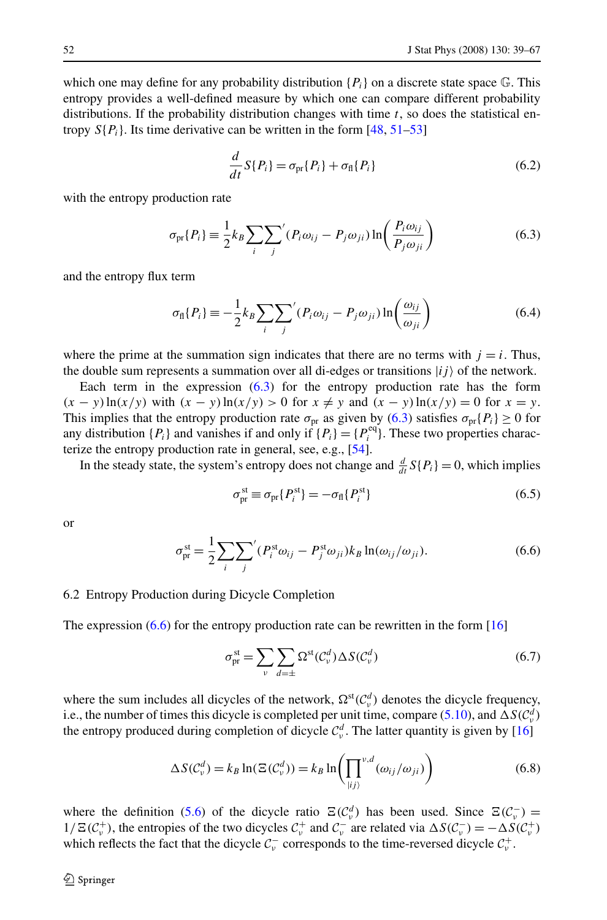<span id="page-13-0"></span>which one may define for any probability distribution  ${P_i}$  on a discrete state space  $\mathbb{G}$ . This entropy provides a well-defined measure by which one can compare different probability distributions. If the probability distribution changes with time *t*, so does the statistical entropy  $S\{P_i\}$ . Its time derivative can be written in the form [\[48,](#page-28-0) [51](#page-28-0)–[53](#page-28-0)]

$$
\frac{d}{dt}S\{P_i\} = \sigma_{\text{pr}}\{P_i\} + \sigma_{\text{fl}}\{P_i\} \tag{6.2}
$$

with the entropy production rate

$$
\sigma_{\text{pr}}\{P_i\} \equiv \frac{1}{2} k_B \sum_i \sum_j \left( P_i \omega_{ij} - P_j \omega_{ji} \right) \ln \left( \frac{P_i \omega_{ij}}{P_j \omega_{ji}} \right) \tag{6.3}
$$

and the entropy flux term

$$
\sigma_{\rm fl}\{P_i\} \equiv -\frac{1}{2}k_B \sum_i \sum_j \left( P_i \omega_{ij} - P_j \omega_{ji} \right) \ln \left( \frac{\omega_{ij}}{\omega_{ji}} \right) \tag{6.4}
$$

where the prime at the summation sign indicates that there are no terms with  $j = i$ . Thus, the double sum represents a summation over all di-edges or transitions  $|ij\rangle$  of the network.

Each term in the expression (6.3) for the entropy production rate has the form *(x* − *y*)  $\ln(x/y)$  with  $(x - y)\ln(x/y) > 0$  for  $x ≠ y$  and  $(x - y)\ln(x/y) = 0$  for  $x = y$ . This implies that the entropy production rate  $\sigma_{pr}$  as given by (6.3) satisfies  $\sigma_{pr}$ {*P<sub>i</sub>*} ≥ 0 for any distribution  $\{P_i\}$  and vanishes if and only if  $\{P_i\} = \{P_i^{\text{eq}}\}$ . These two properties characterize the entropy production rate in general, see, e.g., [[54](#page-28-0)].

In the steady state, the system's entropy does not change and  $\frac{d}{dt}S\{P_i\} = 0$ , which implies

$$
\sigma_{\rm pr}^{\rm st} \equiv \sigma_{\rm pr} \{ P_i^{\rm st} \} = -\sigma_{\rm fl} \{ P_i^{\rm st} \} \tag{6.5}
$$

or

$$
\sigma_{\text{pr}}^{\text{st}} = \frac{1}{2} \sum_{i} \sum_{j}^{\prime} (P_i^{\text{st}} \omega_{ij} - P_j^{\text{st}} \omega_{ji}) k_B \ln(\omega_{ij}/\omega_{ji}). \tag{6.6}
$$

#### 6.2 Entropy Production during Dicycle Completion

The expression  $(6.6)$  for the entropy production rate can be rewritten in the form [\[16\]](#page-27-0)

$$
\sigma_{\text{pr}}^{\text{st}} = \sum_{\nu} \sum_{d=\pm} \Omega^{\text{st}}(\mathcal{C}_{\nu}^{d}) \Delta S(\mathcal{C}_{\nu}^{d})
$$
\n(6.7)

where the sum includes all dicycles of the network,  $\Omega^{\text{st}}(\mathcal{C}^d_\nu)$  denotes the dicycle frequency, i.e., the number of times this dicycle is completed per unit time, compare ([5.10\)](#page-12-0), and  $\Delta S(\mathcal{C}^d_\nu)$ the entropy produced during completion of dicycle  $C_v^d$ . The latter quantity is given by [[16](#page-27-0)]

$$
\Delta S(C_v^d) = k_B \ln(\Xi(C_v^d)) = k_B \ln\left(\prod_{|ij\rangle}^{v,d} (\omega_{ij}/\omega_{ji})\right)
$$
(6.8)

where the definition ([5.6\)](#page-12-0) of the dicycle ratio  $\Xi(\mathcal{C}^d_\nu)$  has been used. Since  $\Xi(\mathcal{C}^-_\nu)$  =  $1/\Xi(\mathcal{C}_{\nu}^+)$ , the entropies of the two dicycles  $\mathcal{C}_{\nu}^+$  and  $\mathcal{C}_{\nu}^-$  are related via  $\Delta S(\mathcal{C}_{\nu}^-) = -\Delta S(\mathcal{C}_{\nu}^+)$ which reflects the fact that the dicycle  $C_v^-$  corresponds to the time-reversed dicycle  $C_v^+$ .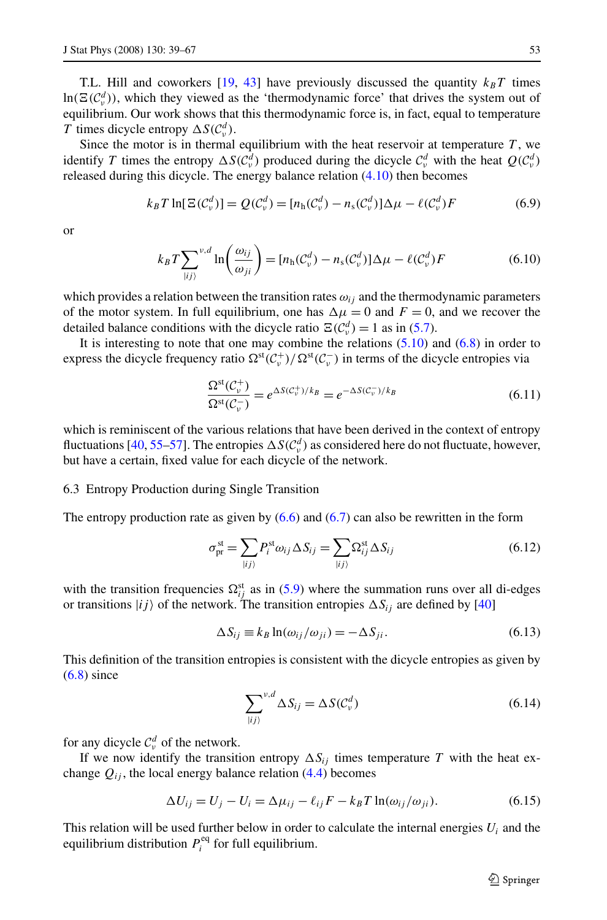<span id="page-14-0"></span>T.L. Hill and coworkers  $[19, 43]$  $[19, 43]$  $[19, 43]$  have previously discussed the quantity  $k_B T$  times  $\ln(\Xi(\mathcal{C}_v^d))$ , which they viewed as the 'thermodynamic force' that drives the system out of equilibrium. Our work shows that this thermodynamic force is, in fact, equal to temperature *T* times dicycle entropy  $\Delta S(\mathcal{C}_v^d)$ .

Since the motor is in thermal equilibrium with the heat reservoir at temperature  $T$ , we identify *T* times the entropy  $\Delta S(\mathcal{C}_v^d)$  produced during the dicycle  $\mathcal{C}_v^d$  with the heat  $Q(\mathcal{C}_v^d)$ released during this dicycle. The energy balance relation  $(4.10)$  $(4.10)$  then becomes

$$
k_B T \ln[\Xi(\mathcal{C}_v^d)] = Q(\mathcal{C}_v^d) = [n_h(\mathcal{C}_v^d) - n_s(\mathcal{C}_v^d)]\Delta \mu - \ell(\mathcal{C}_v^d)F
$$
(6.9)

or

$$
k_B T \sum_{\substack{|ij\rangle}}^{\nu,d} \ln\left(\frac{\omega_{ij}}{\omega_{ji}}\right) = [n_{\rm h}(\mathcal{C}_{\nu}^d) - n_{\rm s}(\mathcal{C}_{\nu}^d)]\Delta\mu - \ell(\mathcal{C}_{\nu}^d)F \tag{6.10}
$$

which provides a relation between the transition rates  $\omega_{ij}$  and the thermodynamic parameters of the motor system. In full equilibrium, one has  $\Delta \mu = 0$  and  $F = 0$ , and we recover the detailed balance conditions with the dicycle ratio  $\mathbb{E}(\mathcal{C}_v^d) = 1$  as in ([5.7](#page-12-0)).

It is interesting to note that one may combine the relations  $(5.10)$  and  $(6.8)$  $(6.8)$  in order to express the dicycle frequency ratio  $\Omega^{st}(C_v^+) / \Omega^{st}(C_v^-)$  in terms of the dicycle entropies via

$$
\frac{\Omega^{\text{st}}(\mathcal{C}_{\nu}^{+})}{\Omega^{\text{st}}(\mathcal{C}_{\nu}^{-})} = e^{\Delta S(\mathcal{C}_{\nu}^{+})/k_{B}} = e^{-\Delta S(\mathcal{C}_{\nu}^{-})/k_{B}}
$$
\n(6.11)

which is reminiscent of the various relations that have been derived in the context of entropy fluctuations [\[40](#page-28-0), [55](#page-28-0)–[57](#page-28-0)]. The entropies  $\Delta S(\mathcal{C}^d_\nu)$  as considered here do not fluctuate, however, but have a certain, fixed value for each dicycle of the network.

#### 6.3 Entropy Production during Single Transition

The entropy production rate as given by  $(6.6)$  $(6.6)$  and  $(6.7)$  $(6.7)$  can also be rewritten in the form

$$
\sigma_{\text{pr}}^{\text{st}} = \sum_{\ket{ij}} P_i^{\text{st}} \omega_{ij} \Delta S_{ij} = \sum_{\ket{ij}} \Omega_{ij}^{\text{st}} \Delta S_{ij}
$$
(6.12)

with the transition frequencies  $\Omega_{ij}^{st}$  as in [\(5.9](#page-12-0)) where the summation runs over all di-edges or transitions  $|i j \rangle$  of the network. The transition entropies  $\Delta S_{i j}$  are defined by [\[40\]](#page-28-0)

$$
\Delta S_{ij} \equiv k_B \ln(\omega_{ij}/\omega_{ji}) = -\Delta S_{ji}.
$$
\n(6.13)

This definition of the transition entropies is consistent with the dicycle entropies as given by  $(6.8)$  $(6.8)$  since

$$
\sum_{|ij\rangle}^{\nu,d} \Delta S_{ij} = \Delta S(\mathcal{C}_\nu^d)
$$
\n(6.14)

for any dicycle  $C_v^d$  of the network.

If we now identify the transition entropy  $\Delta S_{ij}$  times temperature *T* with the heat exchange  $Q_{ij}$ , the local energy balance relation  $(4.4)$  becomes

$$
\Delta U_{ij} = U_j - U_i = \Delta \mu_{ij} - \ell_{ij} F - k_B T \ln(\omega_{ij}/\omega_{ji}). \tag{6.15}
$$

This relation will be used further below in order to calculate the internal energies  $U_i$  and the equilibrium distribution  $P_i^{\text{eq}}$  for full equilibrium.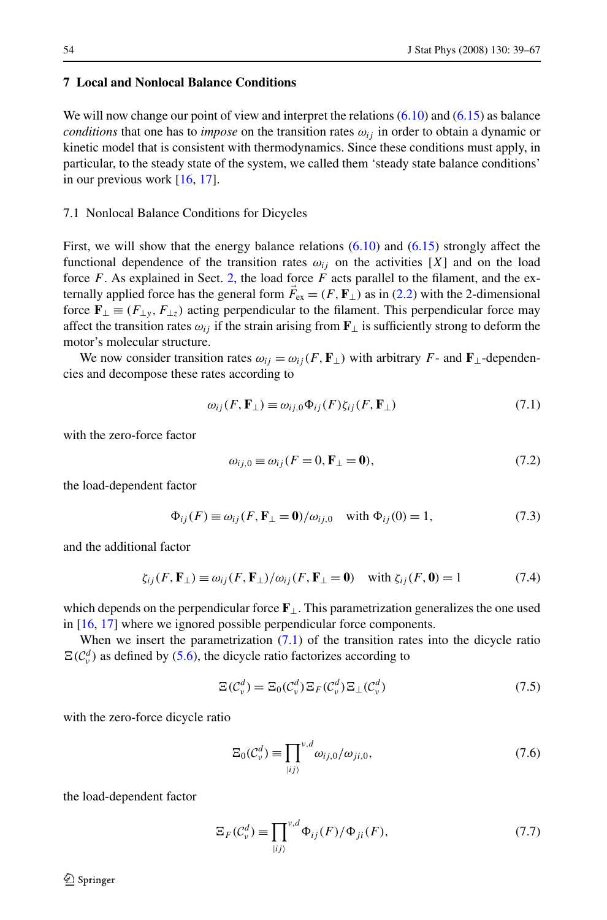# <span id="page-15-0"></span>**7 Local and Nonlocal Balance Conditions**

We will now change our point of view and interpret the relations  $(6.10)$  $(6.10)$  $(6.10)$  and  $(6.15)$  as balance *conditions* that one has to *impose* on the transition rates  $\omega_{ij}$  in order to obtain a dynamic or kinetic model that is consistent with thermodynamics. Since these conditions must apply, in particular, to the steady state of the system, we called them 'steady state balance conditions' in our previous work [\[16,](#page-27-0) [17\]](#page-27-0).

## 7.1 Nonlocal Balance Conditions for Dicycles

First, we will show that the energy balance relations  $(6.10)$  $(6.10)$  $(6.10)$  and  $(6.15)$  strongly affect the functional dependence of the transition rates  $\omega_{ij}$  on the activities [X] and on the load force *F*. As explained in Sect. [2](#page-3-0), the load force *F* acts parallel to the filament, and the externally applied force has the general form  $\vec{F}_{ex} = (F, \mathbf{F}_{\perp})$  as in [\(2.2](#page-4-0)) with the 2-dimensional force  $\mathbf{F}_{\perp} \equiv (F_{\perp y}, F_{\perp z})$  acting perpendicular to the filament. This perpendicular force may affect the transition rates  $\omega_{ij}$  if the strain arising from **F**<sub>⊥</sub> is sufficiently strong to deform the motor's molecular structure.

We now consider transition rates  $\omega_{ij} = \omega_{ij}(F, \mathbf{F}_{\perp})$  with arbitrary *F*- and **F**<sub>⊥</sub>-dependencies and decompose these rates according to

$$
\omega_{ij}(F, \mathbf{F}_{\perp}) \equiv \omega_{ij,0} \Phi_{ij}(F) \zeta_{ij}(F, \mathbf{F}_{\perp}) \tag{7.1}
$$

with the zero-force factor

$$
\omega_{ij,0} \equiv \omega_{ij} (F = 0, \mathbf{F}_{\perp} = \mathbf{0}),\tag{7.2}
$$

the load-dependent factor

$$
\Phi_{ij}(F) \equiv \omega_{ij}(F, \mathbf{F}_{\perp} = \mathbf{0})/\omega_{ij,0} \quad \text{with } \Phi_{ij}(0) = 1,
$$
\n(7.3)

and the additional factor

$$
\zeta_{ij}(F, \mathbf{F}_{\perp}) \equiv \omega_{ij}(F, \mathbf{F}_{\perp})/\omega_{ij}(F, \mathbf{F}_{\perp} = \mathbf{0}) \quad \text{with } \zeta_{ij}(F, \mathbf{0}) = 1 \tag{7.4}
$$

which depends on the perpendicular force **F**⊥. This parametrization generalizes the one used in [[16](#page-27-0), [17](#page-27-0)] where we ignored possible perpendicular force components.

When we insert the parametrization  $(7.1)$  of the transition rates into the dicycle ratio  $\Xi(\mathcal{C}_v^d)$  as defined by [\(5.6\)](#page-12-0), the dicycle ratio factorizes according to

$$
\Xi(\mathcal{C}_v^d) = \Xi_0(\mathcal{C}_v^d) \Xi_F(\mathcal{C}_v^d) \Xi_\perp(\mathcal{C}_v^d)
$$
\n(7.5)

with the zero-force dicycle ratio

$$
\Xi_0(\mathcal{C}_v^d) \equiv \prod_{|ij\rangle}^{v,d} \omega_{ij,0}/\omega_{ji,0},\tag{7.6}
$$

the load-dependent factor

$$
\Xi_F(\mathcal{C}_v^d) \equiv \prod_{|ij\rangle}^{v,d} \Phi_{ij}(F) / \Phi_{ji}(F),\tag{7.7}
$$

 $\mathcal{D}$  Springer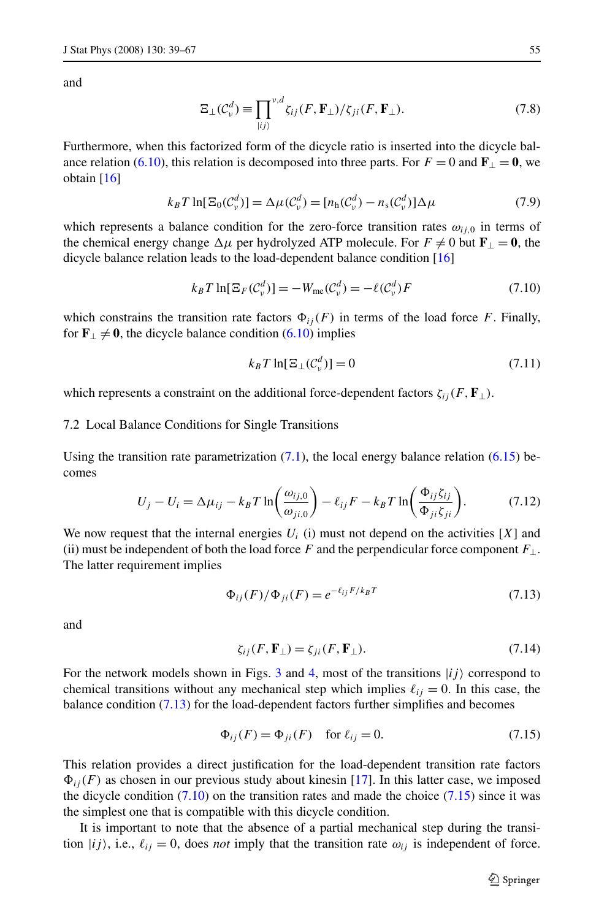<span id="page-16-0"></span>and

$$
\Xi_{\perp}(\mathcal{C}_{\nu}^{d}) \equiv \prod_{\vert ij \rangle}^{\nu,d} \zeta_{ij}(F, \mathbf{F}_{\perp}) / \zeta_{ji}(F, \mathbf{F}_{\perp}).
$$
\n(7.8)

Furthermore, when this factorized form of the dicycle ratio is inserted into the dicycle bal-ance relation ([6.10](#page-14-0)), this relation is decomposed into three parts. For  $F = 0$  and  $\mathbf{F}_{\perp} = \mathbf{0}$ , we obtain [\[16](#page-27-0)]

$$
k_B T \ln[\Xi_0(\mathcal{C}_v^d)] = \Delta \mu(\mathcal{C}_v^d) = [n_h(\mathcal{C}_v^d) - n_s(\mathcal{C}_v^d)] \Delta \mu \tag{7.9}
$$

which represents a balance condition for the zero-force transition rates  $\omega_{i,0}$  in terms of the chemical energy change  $\Delta \mu$  per hydrolyzed ATP molecule. For  $F \neq 0$  but  $\mathbf{F}_{\perp} = \mathbf{0}$ , the dicycle balance relation leads to the load-dependent balance condition [[16](#page-27-0)]

$$
k_B T \ln[\Xi_F(\mathcal{C}_v^d)] = -W_{\text{me}}(\mathcal{C}_v^d) = -\ell(\mathcal{C}_v^d)F\tag{7.10}
$$

which constrains the transition rate factors  $\Phi_{ij}(F)$  in terms of the load force *F*. Finally, for  $\mathbf{F}_{\perp} \neq \mathbf{0}$ , the dicycle balance condition ([6.10](#page-14-0)) implies

$$
k_B T \ln[\Xi_\perp(\mathcal{C}_v^d)] = 0 \tag{7.11}
$$

which represents a constraint on the additional force-dependent factors  $\zeta_{ij}(F, \mathbf{F}_{\perp})$ .

## 7.2 Local Balance Conditions for Single Transitions

Using the transition rate parametrization  $(7.1)$  $(7.1)$ , the local energy balance relation  $(6.15)$  $(6.15)$  becomes

$$
U_j - U_i = \Delta \mu_{ij} - k_B T \ln \left( \frac{\omega_{ij,0}}{\omega_{ji,0}} \right) - \ell_{ij} F - k_B T \ln \left( \frac{\Phi_{ij} \zeta_{ij}}{\Phi_{ji} \zeta_{ji}} \right).
$$
 (7.12)

We now request that the internal energies  $U_i$  (i) must not depend on the activities  $[X]$  and (ii) must be independent of both the load force *F* and the perpendicular force component  $F_{\perp}$ . The latter requirement implies

$$
\Phi_{ij}(F)/\Phi_{ji}(F) = e^{-\ell_{ij}F/k_BT} \tag{7.13}
$$

and

$$
\zeta_{ij}(F, \mathbf{F}_{\perp}) = \zeta_{ji}(F, \mathbf{F}_{\perp}).\tag{7.14}
$$

For the network models shown in Figs. [3](#page-6-0) and [4](#page-7-0), most of the transitions  $|ij\rangle$  correspond to chemical transitions without any mechanical step which implies  $\ell_{ij} = 0$ . In this case, the balance condition (7.13) for the load-dependent factors further simplifies and becomes

$$
\Phi_{ij}(F) = \Phi_{ji}(F) \quad \text{for } \ell_{ij} = 0. \tag{7.15}
$$

This relation provides a direct justification for the load-dependent transition rate factors  $\Phi_{ij}(F)$  as chosen in our previous study about kinesin [\[17\]](#page-27-0). In this latter case, we imposed the dicycle condition  $(7.10)$  on the transition rates and made the choice  $(7.15)$  since it was the simplest one that is compatible with this dicycle condition.

It is important to note that the absence of a partial mechanical step during the transition  $|ij\rangle$ , i.e.,  $\ell_{ij} = 0$ , does *not* imply that the transition rate  $\omega_{ij}$  is independent of force.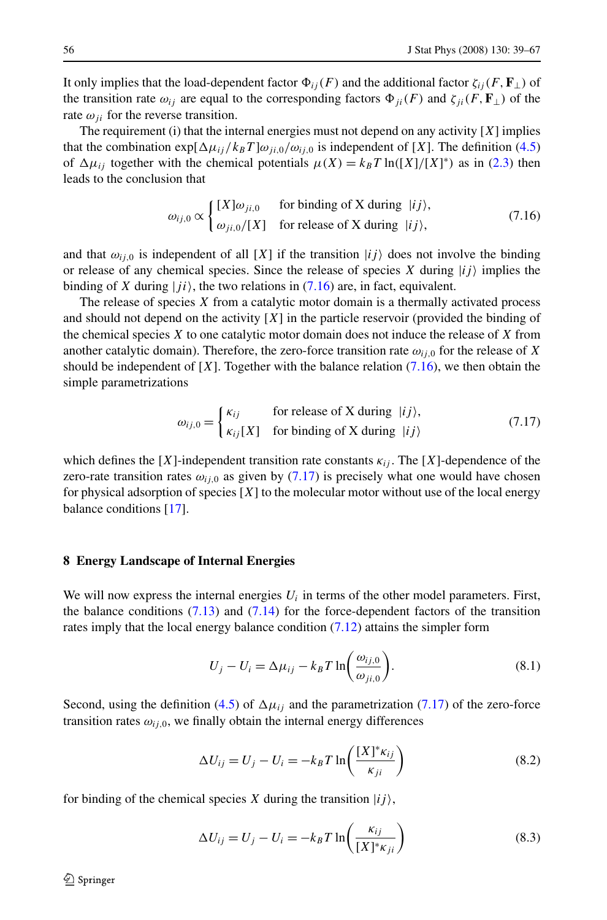<span id="page-17-0"></span>It only implies that the load-dependent factor  $\Phi_{ij}(F)$  and the additional factor  $\zeta_{ij}(F, \mathbf{F}_{\perp})$  of the transition rate  $\omega_{ij}$  are equal to the corresponding factors  $\Phi_{ii}(F)$  and  $\zeta_{ii}(F, \mathbf{F}_{\perp})$  of the rate  $\omega_{ii}$  for the reverse transition.

The requirement (i) that the internal energies must not depend on any activity [*X*] implies that the combination  $\exp[\Delta\mu_{ij}/k_BT]\omega_{ji,0}/\omega_{ij,0}$  is independent of [X]. The definition ([4.5](#page-9-0)) of  $\Delta \mu_{ij}$  together with the chemical potentials  $\mu(X) = k_B T \ln([X]/[X]^*)$  as in ([2.3\)](#page-4-0) then leads to the conclusion that

$$
\omega_{ij,0} \propto \begin{cases} [X]\omega_{ji,0} & \text{for binding of X during } |ij\rangle, \\ \omega_{ji,0}/[X] & \text{for release of X during } |ij\rangle, \end{cases}
$$
(7.16)

and that  $\omega_{ij,0}$  is independent of all [X] if the transition  $|ij\rangle$  does not involve the binding or release of any chemical species. Since the release of species  $X$  during  $|ij\rangle$  implies the binding of *X* during  $|ji\rangle$ , the two relations in (7.16) are, in fact, equivalent.

The release of species *X* from a catalytic motor domain is a thermally activated process and should not depend on the activity [*X*] in the particle reservoir (provided the binding of the chemical species *X* to one catalytic motor domain does not induce the release of *X* from another catalytic domain). Therefore, the zero-force transition rate  $\omega_{i,j,0}$  for the release of *X* should be independent of  $[X]$ . Together with the balance relation  $(7.16)$ , we then obtain the simple parametrizations

$$
\omega_{ij,0} = \begin{cases} \kappa_{ij} & \text{for release of X during } |ij\rangle, \\ \kappa_{ij}[X] & \text{for binding of X during } |ij\rangle \end{cases}
$$
(7.17)

which defines the [*X*]-independent transition rate constants  $\kappa_{ij}$ . The [*X*]-dependence of the zero-rate transition rates  $\omega_{i,j,0}$  as given by (7.17) is precisely what one would have chosen for physical adsorption of species [*X*] to the molecular motor without use of the local energy balance conditions [\[17\]](#page-27-0).

## **8 Energy Landscape of Internal Energies**

We will now express the internal energies  $U_i$  in terms of the other model parameters. First, the balance conditions  $(7.13)$  and  $(7.14)$  $(7.14)$  $(7.14)$  for the force-dependent factors of the transition rates imply that the local energy balance condition  $(7.12)$  attains the simpler form

$$
U_j - U_i = \Delta \mu_{ij} - k_B T \ln \left( \frac{\omega_{ij,0}}{\omega_{ji,0}} \right).
$$
 (8.1)

Second, using the definition [\(4.5](#page-9-0)) of  $\Delta \mu_{ij}$  and the parametrization (7.17) of the zero-force transition rates  $\omega_{i,j,0}$ , we finally obtain the internal energy differences

$$
\Delta U_{ij} = U_j - U_i = -k_B T \ln\left(\frac{[X]^* \kappa_{ij}}{\kappa_{ji}}\right)
$$
\n(8.2)

for binding of the chemical species  $X$  during the transition  $|ij\rangle$ ,

$$
\Delta U_{ij} = U_j - U_i = -k_B T \ln \left( \frac{\kappa_{ij}}{[X]^* \kappa_{ji}} \right)
$$
\n(8.3)

 $\mathcal{D}$  Springer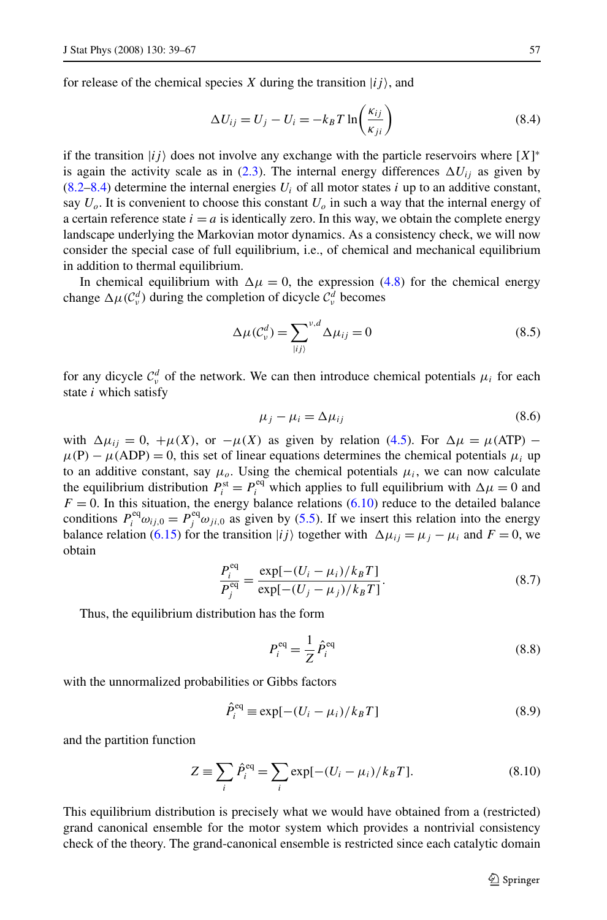<span id="page-18-0"></span>for release of the chemical species *X* during the transition  $|ij\rangle$ , and

$$
\Delta U_{ij} = U_j - U_i = -k_B T \ln\left(\frac{\kappa_{ij}}{\kappa_{ji}}\right)
$$
\n(8.4)

if the transition  $|ij\rangle$  does not involve any exchange with the particle reservoirs where  $[X]^*$ is again the activity scale as in [\(2.3](#page-4-0)). The internal energy differences  $\Delta U_{ii}$  as given by  $(8.2–8.4)$  $(8.2–8.4)$  $(8.2–8.4)$  determine the internal energies  $U_i$  of all motor states *i* up to an additive constant, say  $U<sub>o</sub>$ . It is convenient to choose this constant  $U<sub>o</sub>$  in such a way that the internal energy of a certain reference state  $i = a$  is identically zero. In this way, we obtain the complete energy landscape underlying the Markovian motor dynamics. As a consistency check, we will now consider the special case of full equilibrium, i.e., of chemical and mechanical equilibrium in addition to thermal equilibrium.

In chemical equilibrium with  $\Delta \mu = 0$ , the expression [\(4.8](#page-10-0)) for the chemical energy change  $\Delta \mu$ ( $C_v^d$ ) during the completion of dicycle  $C_v^d$  becomes

$$
\Delta \mu(C_v^d) = \sum_{|ij\rangle}^{v,d} \Delta \mu_{ij} = 0
$$
\n(8.5)

for any dicycle  $C_v^d$  of the network. We can then introduce chemical potentials  $\mu_i$  for each state *i* which satisfy

$$
\mu_j - \mu_i = \Delta \mu_{ij} \tag{8.6}
$$

with  $\Delta \mu_{ij} = 0$ ,  $+\mu(X)$ , or  $-\mu(X)$  as given by relation ([4.5\)](#page-9-0). For  $\Delta \mu = \mu(ATP)$  –  $\mu(P) - \mu(ADP) = 0$ , this set of linear equations determines the chemical potentials  $\mu_i$  up to an additive constant, say  $\mu_o$ . Using the chemical potentials  $\mu_i$ , we can now calculate the equilibrium distribution  $P_i^{\text{st}} = P_i^{\text{eq}}$  which applies to full equilibrium with  $\Delta \mu = 0$  and  $F = 0$ . In this situation, the energy balance relations [\(6.10\)](#page-14-0) reduce to the detailed balance conditions  $P_i^{\text{eq}} \omega_{ij,0} = P_j^{\text{eq}} \omega_{ji,0}$  as given by ([5.5\)](#page-11-0). If we insert this relation into the energy balance relation ([6.15](#page-14-0)) for the transition  $|i j \rangle$  together with  $\Delta \mu_{ij} = \mu_j - \mu_i$  and  $F = 0$ , we obtain

$$
\frac{P_i^{\text{eq}}}{P_j^{\text{eq}}} = \frac{\exp[-(U_i - \mu_i)/k_B T]}{\exp[-(U_j - \mu_j)/k_B T]}.
$$
\n(8.7)

Thus, the equilibrium distribution has the form

$$
P_i^{\text{eq}} = \frac{1}{Z} \hat{P}_i^{\text{eq}} \tag{8.8}
$$

with the unnormalized probabilities or Gibbs factors

$$
\hat{P}_i^{\text{eq}} \equiv \exp[-(U_i - \mu_i)/k_B T] \tag{8.9}
$$

and the partition function

$$
Z = \sum_{i} \hat{P}_{i}^{eq} = \sum_{i} \exp[-(U_{i} - \mu_{i})/k_{B}T].
$$
\n(8.10)

This equilibrium distribution is precisely what we would have obtained from a (restricted) grand canonical ensemble for the motor system which provides a nontrivial consistency check of the theory. The grand-canonical ensemble is restricted since each catalytic domain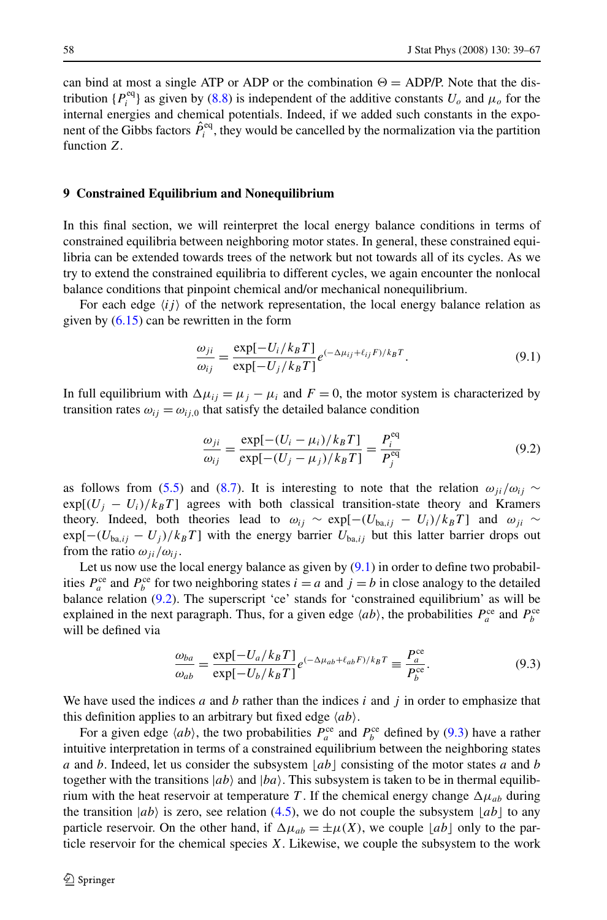<span id="page-19-0"></span>can bind at most a single ATP or ADP or the combination  $\Theta = \text{ADP/P}$ . Note that the distribution  $\{P_i^{\text{eq}}\}$  as given by [\(8.8](#page-18-0)) is independent of the additive constants  $U_o$  and  $\mu_o$  for the internal energies and chemical potentials. Indeed, if we added such constants in the exponent of the Gibbs factors  $\hat{P}_i^{\text{eq}}$ , they would be cancelled by the normalization via the partition function *Z*.

## **9 Constrained Equilibrium and Nonequilibrium**

In this final section, we will reinterpret the local energy balance conditions in terms of constrained equilibria between neighboring motor states. In general, these constrained equilibria can be extended towards trees of the network but not towards all of its cycles. As we try to extend the constrained equilibria to different cycles, we again encounter the nonlocal balance conditions that pinpoint chemical and/or mechanical nonequilibrium.

For each edge  $\langle ij \rangle$  of the network representation, the local energy balance relation as given by  $(6.15)$  $(6.15)$  $(6.15)$  can be rewritten in the form

$$
\frac{\omega_{ji}}{\omega_{ij}} = \frac{\exp[-U_i/k_B T]}{\exp[-U_j/k_B T]} e^{(-\Delta \mu_{ij} + \ell_{ij} F)/k_B T}.
$$
\n(9.1)

In full equilibrium with  $\Delta \mu_{ij} = \mu_j - \mu_i$  and  $F = 0$ , the motor system is characterized by transition rates  $\omega_{ij} = \omega_{ij,0}$  that satisfy the detailed balance condition

$$
\frac{\omega_{ji}}{\omega_{ij}} = \frac{\exp[-(U_i - \mu_i)/k_B T]}{\exp[-(U_j - \mu_j)/k_B T]} = \frac{P_i^{\text{eq}}}{P_j^{\text{eq}}}
$$
(9.2)

as follows from [\(5.5\)](#page-11-0) and ([8.7\)](#page-18-0). It is interesting to note that the relation  $\omega_{ii}/\omega_{ij} \sim$  $exp[(U_i - U_i)/k_B T]$  agrees with both classical transition-state theory and Kramers theory. Indeed, both theories lead to  $\omega_{ij} \sim \exp[-(U_{ba,ij} - U_i)/k_B T]$  and  $\omega_{ji} \sim$  $exp[-(U_{ba,ij} - U_j)/k_B T]$  with the energy barrier  $U_{ba,ij}$  but this latter barrier drops out from the ratio  $\omega_{ji}/\omega_{ij}$ .

Let us now use the local energy balance as given by  $(9.1)$  in order to define two probabilities  $P_a^{\text{ce}}$  and  $P_b^{\text{ce}}$  for two neighboring states  $i = a$  and  $j = b$  in close analogy to the detailed balance relation (9.2). The superscript 'ce' stands for 'constrained equilibrium' as will be explained in the next paragraph. Thus, for a given edge  $\langle ab \rangle$ , the probabilities  $P_a^{\text{ce}}$  and  $P_b^{\text{ce}}$ will be defined via

$$
\frac{\omega_{ba}}{\omega_{ab}} = \frac{\exp[-U_a/k_B T]}{\exp[-U_b/k_B T]} e^{(-\Delta \mu_{ab} + \ell_{ab} F)/k_B T} \equiv \frac{P_a^{\text{ce}}}{P_b^{\text{ce}}}.
$$
\n(9.3)

We have used the indices *a* and *b* rather than the indices *i* and *j* in order to emphasize that this definition applies to an arbitrary but fixed edge  $\langle ab \rangle$ .

For a given edge  $\langle ab \rangle$ , the two probabilities  $P_a^{\text{ce}}$  and  $P_b^{\text{ce}}$  defined by (9.3) have a rather intuitive interpretation in terms of a constrained equilibrium between the neighboring states *a* and *b*. Indeed, let us consider the subsystem  $[ab]$  consisting of the motor states *a* and *b* together with the transitions  $|ab\rangle$  and  $|ba\rangle$ . This subsystem is taken to be in thermal equilibrium with the heat reservoir at temperature *T*. If the chemical energy change  $\Delta \mu_{ab}$  during the transition  $|ab\rangle$  is zero, see relation [\(4.5](#page-9-0)), we do not couple the subsystem  $\lfloor ab \rfloor$  to any particle reservoir. On the other hand, if  $\Delta \mu_{ab} = \pm \mu(X)$ , we couple *ab* only to the particle reservoir for the chemical species *X*. Likewise, we couple the subsystem to the work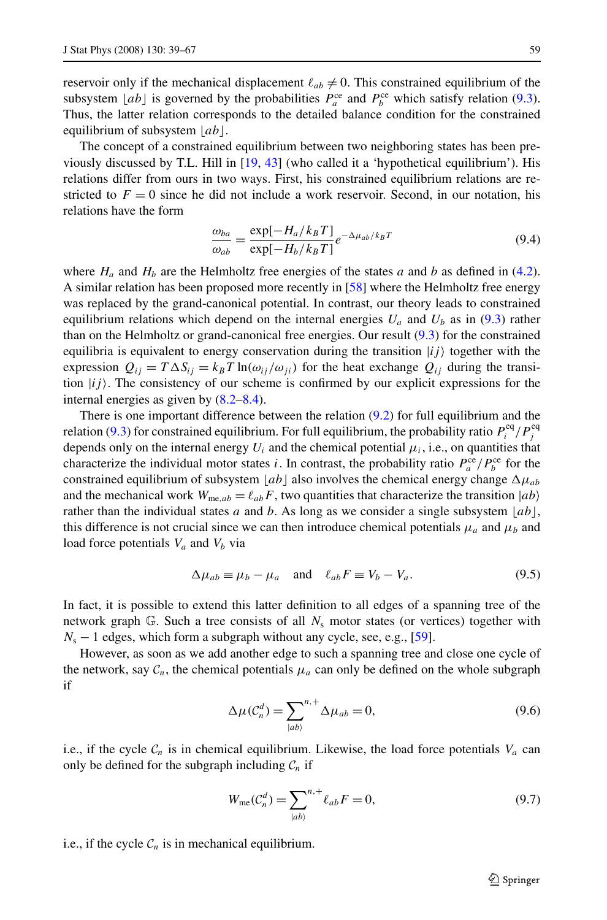<span id="page-20-0"></span>reservoir only if the mechanical displacement  $\ell_{ab} \neq 0$ . This constrained equilibrium of the subsystem  $\lfloor ab \rfloor$  is governed by the probabilities  $P_a^{\text{ce}}$  and  $P_b^{\text{ce}}$  which satisfy relation [\(9.3](#page-19-0)). Thus, the latter relation corresponds to the detailed balance condition for the constrained equilibrium of subsystem  $|ab|$ .

The concept of a constrained equilibrium between two neighboring states has been previously discussed by T.L. Hill in [\[19,](#page-27-0) [43](#page-28-0)] (who called it a 'hypothetical equilibrium'). His relations differ from ours in two ways. First, his constrained equilibrium relations are restricted to  $F = 0$  since he did not include a work reservoir. Second, in our notation, his relations have the form

$$
\frac{\omega_{ba}}{\omega_{ab}} = \frac{\exp[-H_a/k_B T]}{\exp[-H_b/k_B T]} e^{-\Delta \mu_{ab}/k_B T}
$$
(9.4)

where  $H_a$  and  $H_b$  are the Helmholtz free energies of the states *a* and *b* as defined in [\(4.2](#page-9-0)). A similar relation has been proposed more recently in [\[58\]](#page-28-0) where the Helmholtz free energy was replaced by the grand-canonical potential. In contrast, our theory leads to constrained equilibrium relations which depend on the internal energies  $U_a$  and  $U_b$  as in [\(9.3](#page-19-0)) rather than on the Helmholtz or grand-canonical free energies. Our result [\(9.3\)](#page-19-0) for the constrained equilibria is equivalent to energy conservation during the transition  $|ij\rangle$  together with the expression  $Q_{ij} = T \Delta S_{ij} = k_B T \ln(\omega_{ij}/\omega_{ji})$  for the heat exchange  $Q_{ij}$  during the transition  $|i j\rangle$ . The consistency of our scheme is confirmed by our explicit expressions for the internal energies as given by [\(8.2–](#page-17-0)[8.4](#page-18-0)).

There is one important difference between the relation [\(9.2](#page-19-0)) for full equilibrium and the relation ([9.3\)](#page-19-0) for constrained equilibrium. For full equilibrium, the probability ratio  $P_i^{\text{eq}}/P_j^{\text{eq}}$ depends only on the internal energy  $U_i$  and the chemical potential  $\mu_i$ , i.e., on quantities that characterize the individual motor states *i*. In contrast, the probability ratio  $P_a^{\text{ce}}/P_b^{\text{ce}}$  for the constrained equilibrium of subsystem  $|ab|$  also involves the chemical energy change  $\Delta \mu_{ab}$ and the mechanical work  $W_{\text{me},ab} = \ell_{ab}F$ , two quantities that characterize the transition  $|ab\rangle$ rather than the individual states *a* and *b*. As long as we consider a single subsystem  $|ab|$ , this difference is not crucial since we can then introduce chemical potentials  $\mu_a$  and  $\mu_b$  and load force potentials  $V_a$  and  $V_b$  via

$$
\Delta \mu_{ab} \equiv \mu_b - \mu_a \quad \text{and} \quad \ell_{ab} F \equiv V_b - V_a. \tag{9.5}
$$

In fact, it is possible to extend this latter definition to all edges of a spanning tree of the network graph  $\mathbb{G}$ . Such a tree consists of all  $N_s$  motor states (or vertices) together with  $N_s - 1$  edges, which form a subgraph without any cycle, see, e.g., [\[59\]](#page-28-0).

However, as soon as we add another edge to such a spanning tree and close one cycle of the network, say  $C_n$ , the chemical potentials  $\mu_a$  can only be defined on the whole subgraph if

$$
\Delta \mu(C_n^d) = \sum_{|ab\rangle}^{n,+} \Delta \mu_{ab} = 0,\tag{9.6}
$$

i.e., if the cycle  $C_n$  is in chemical equilibrium. Likewise, the load force potentials  $V_a$  can only be defined for the subgraph including  $C_n$  if

$$
W_{\text{me}}(\mathcal{C}_n^d) = \sum_{|ab\rangle}^{n,+} \ell_{ab} F = 0, \tag{9.7}
$$

i.e., if the cycle  $C_n$  is in mechanical equilibrium.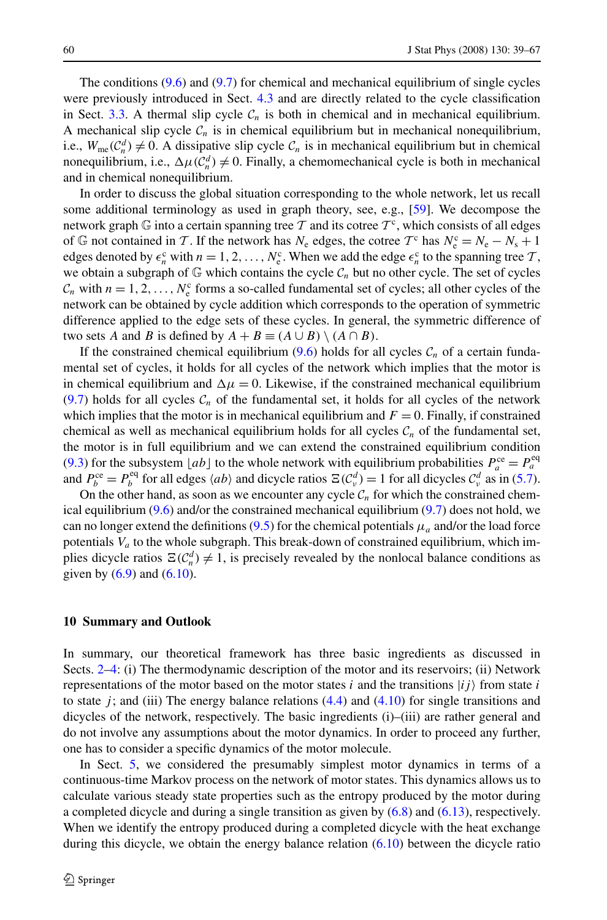The conditions  $(9.6)$  and  $(9.7)$  $(9.7)$  for chemical and mechanical equilibrium of single cycles were previously introduced in Sect. [4.3](#page-10-0) and are directly related to the cycle classification in Sect.  $3.3$ . A thermal slip cycle  $C_n$  is both in chemical and in mechanical equilibrium. A mechanical slip cycle  $C_n$  is in chemical equilibrium but in mechanical nonequilibrium, i.e.,  $W_{\text{me}}(\mathcal{C}_n^d) \neq 0$ . A dissipative slip cycle  $\mathcal{C}_n$  is in mechanical equilibrium but in chemical nonequilibrium, i.e.,  $\Delta \mu(C_n^d) \neq 0$ . Finally, a chemomechanical cycle is both in mechanical and in chemical nonequilibrium.

In order to discuss the global situation corresponding to the whole network, let us recall some additional terminology as used in graph theory, see, e.g., [\[59\]](#page-28-0). We decompose the network graph G into a certain spanning tree T and its cotree  $T^c$ , which consists of all edges of  $\mathbb{G}$  not contained in T. If the network has  $N_e$  edges, the cotree  $T<sup>c</sup>$  has  $N_e<sup>c</sup> = N_e - N_s + 1$ edges denoted by  $\epsilon_n^c$  with  $n = 1, 2, ..., N_e^c$ . When we add the edge  $\epsilon_n^c$  to the spanning tree  $\mathcal{T}$ , we obtain a subgraph of  $\mathbb G$  which contains the cycle  $\mathcal C_n$  but no other cycle. The set of cycles  $C_n$  with  $n = 1, 2, \ldots, N_e^c$  forms a so-called fundamental set of cycles; all other cycles of the network can be obtained by cycle addition which corresponds to the operation of symmetric difference applied to the edge sets of these cycles. In general, the symmetric difference of two sets *A* and *B* is defined by  $A + B \equiv (A \cup B) \setminus (A \cap B)$ .

If the constrained chemical equilibrium  $(9.6)$  $(9.6)$  holds for all cycles  $C_n$  of a certain fundamental set of cycles, it holds for all cycles of the network which implies that the motor is in chemical equilibrium and  $\Delta \mu = 0$ . Likewise, if the constrained mechanical equilibrium  $(9.7)$  $(9.7)$  holds for all cycles  $C<sub>n</sub>$  of the fundamental set, it holds for all cycles of the network which implies that the motor is in mechanical equilibrium and  $F = 0$ . Finally, if constrained chemical as well as mechanical equilibrium holds for all cycles  $C_n$  of the fundamental set, the motor is in full equilibrium and we can extend the constrained equilibrium condition ([9.3\)](#page-19-0) for the subsystem [*ab*] to the whole network with equilibrium probabilities  $P_a^{\text{ce}} = P_a^{\text{eq}}$ and  $P_b^{\text{ce}} = P_b^{\text{eq}}$  for all edges  $\langle ab \rangle$  and dicycle ratios  $\Xi(\mathcal{C}_v^d) = 1$  for all dicycles  $\mathcal{C}_v^d$  as in [\(5.7](#page-12-0)).

On the other hand, as soon as we encounter any cycle  $C_n$  for which the constrained chemical equilibrium  $(9.6)$  and/or the constrained mechanical equilibrium  $(9.7)$  $(9.7)$  does not hold, we can no longer extend the definitions  $(9.5)$  $(9.5)$  for the chemical potentials  $\mu_a$  and/or the load force potentials *Va* to the whole subgraph. This break-down of constrained equilibrium, which implies dicycle ratios  $\Xi(\mathcal{C}_n^d) \neq 1$ , is precisely revealed by the nonlocal balance conditions as given by  $(6.9)$  $(6.9)$  and  $(6.10)$ .

#### **10 Summary and Outlook**

In summary, our theoretical framework has three basic ingredients as discussed in Sects. [2](#page-3-0)[–4:](#page-8-0) (i) The thermodynamic description of the motor and its reservoirs; (ii) Network representations of the motor based on the motor states  $i$  and the transitions  $|ij\rangle$  from state  $i$ to state  $j$ ; and (iii) The energy balance relations  $(4.4)$  $(4.4)$  and  $(4.10)$  $(4.10)$  $(4.10)$  for single transitions and dicycles of the network, respectively. The basic ingredients (i)–(iii) are rather general and do not involve any assumptions about the motor dynamics. In order to proceed any further, one has to consider a specific dynamics of the motor molecule.

In Sect. [5,](#page-11-0) we considered the presumably simplest motor dynamics in terms of a continuous-time Markov process on the network of motor states. This dynamics allows us to calculate various steady state properties such as the entropy produced by the motor during a completed dicycle and during a single transition as given by ([6.8\)](#page-13-0) and [\(6.13\)](#page-14-0), respectively. When we identify the entropy produced during a completed dicycle with the heat exchange during this dicycle, we obtain the energy balance relation ([6.10](#page-14-0)) between the dicycle ratio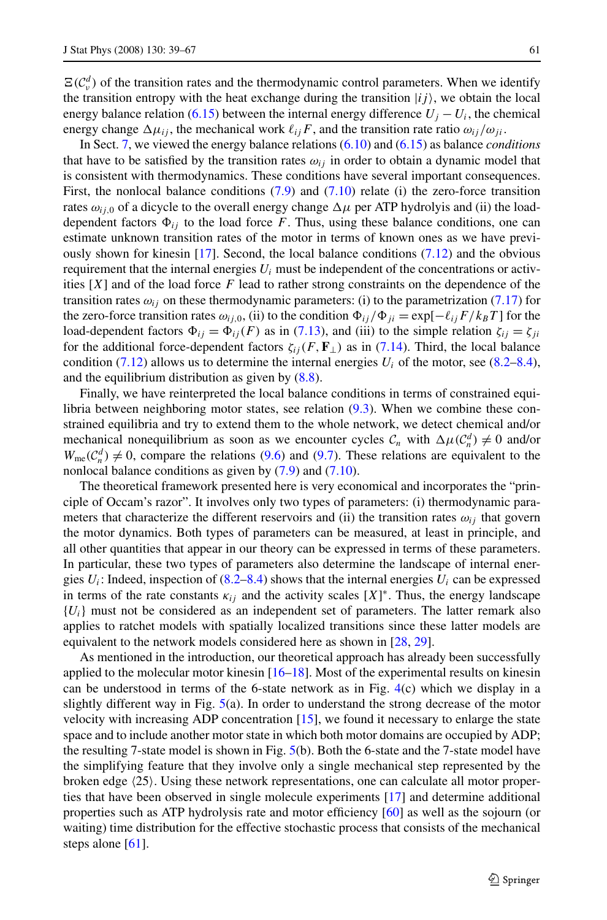$\Xi(\mathcal{C}_v^d)$  of the transition rates and the thermodynamic control parameters. When we identify the transition entropy with the heat exchange during the transition  $|ij\rangle$ , we obtain the local energy balance relation [\(6.15\)](#page-14-0) between the internal energy difference  $U_j - U_i$ , the chemical energy change  $\Delta \mu_{ij}$ , the mechanical work  $\ell_{ij}F$ , and the transition rate ratio  $\omega_{ij}/\omega_{ji}$ .

In Sect. [7](#page-15-0), we viewed the energy balance relations [\(6.10\)](#page-14-0) and ([6.15](#page-14-0)) as balance *conditions* that have to be satisfied by the transition rates  $\omega_{ij}$  in order to obtain a dynamic model that is consistent with thermodynamics. These conditions have several important consequences. First, the nonlocal balance conditions  $(7.9)$  $(7.9)$  and  $(7.10)$  $(7.10)$  $(7.10)$  relate (i) the zero-force transition rates  $\omega_{i,j}$  of a dicycle to the overall energy change  $\Delta \mu$  per ATP hydrolyis and (ii) the loaddependent factors  $\Phi_{ij}$  to the load force *F*. Thus, using these balance conditions, one can estimate unknown transition rates of the motor in terms of known ones as we have previously shown for kinesin  $[17]$  $[17]$  $[17]$ . Second, the local balance conditions  $(7.12)$  and the obvious requirement that the internal energies  $U_i$  must be independent of the concentrations or activities [*X*] and of the load force *F* lead to rather strong constraints on the dependence of the transition rates  $\omega_{ij}$  on these thermodynamic parameters: (i) to the parametrization ([7.17](#page-17-0)) for the zero-force transition rates  $\omega_{ij,0}$ , (ii) to the condition  $\Phi_{ij}/\Phi_{ji} = \exp[-\ell_{ij}F/k_BT]$  for the load-dependent factors  $\Phi_{ij} = \Phi_{ij}(F)$  as in ([7.13](#page-16-0)), and (iii) to the simple relation  $\zeta_{ij} = \zeta_{ji}$ for the additional force-dependent factors  $\zeta_{ij}(F, \mathbf{F}_{\perp})$  as in [\(7.14\)](#page-16-0). Third, the local balance condition [\(7.12\)](#page-16-0) allows us to determine the internal energies  $U_i$  of the motor, see ([8.2](#page-17-0)[–8.4](#page-18-0)), and the equilibrium distribution as given by [\(8.8](#page-18-0)).

Finally, we have reinterpreted the local balance conditions in terms of constrained equilibria between neighboring motor states, see relation ([9.3](#page-19-0)). When we combine these constrained equilibria and try to extend them to the whole network, we detect chemical and/or mechanical nonequilibrium as soon as we encounter cycles  $C_n$  with  $\Delta \mu (C_n^d) \neq 0$  and/or  $W_{\text{me}}(\mathcal{C}_n^d) \neq 0$ , compare the relations ([9.6](#page-20-0)) and ([9.7\)](#page-20-0). These relations are equivalent to the nonlocal balance conditions as given by [\(7.9\)](#page-16-0) and ([7.10](#page-16-0)).

The theoretical framework presented here is very economical and incorporates the "principle of Occam's razor". It involves only two types of parameters: (i) thermodynamic parameters that characterize the different reservoirs and (ii) the transition rates  $\omega_{ij}$  that govern the motor dynamics. Both types of parameters can be measured, at least in principle, and all other quantities that appear in our theory can be expressed in terms of these parameters. In particular, these two types of parameters also determine the landscape of internal energies  $U_i$ : Indeed, inspection of  $(8.2–8.4)$  $(8.2–8.4)$  $(8.2–8.4)$  shows that the internal energies  $U_i$  can be expressed in terms of the rate constants  $\kappa_{ij}$  and the activity scales  $[X]^*$ . Thus, the energy landscape  ${U_i}$  must not be considered as an independent set of parameters. The latter remark also applies to ratchet models with spatially localized transitions since these latter models are equivalent to the network models considered here as shown in [[28](#page-27-0), [29](#page-27-0)].

As mentioned in the introduction, our theoretical approach has already been successfully applied to the molecular motor kinesin [[16–18\]](#page-27-0). Most of the experimental results on kinesin can be understood in terms of the 6-state network as in Fig. [4\(](#page-7-0)c) which we display in a slightly different way in Fig. [5\(](#page-23-0)a). In order to understand the strong decrease of the motor velocity with increasing ADP concentration  $[15]$  $[15]$  $[15]$ , we found it necessary to enlarge the state space and to include another motor state in which both motor domains are occupied by ADP; the resulting 7-state model is shown in Fig. [5](#page-23-0)(b). Both the 6-state and the 7-state model have the simplifying feature that they involve only a single mechanical step represented by the broken edge  $(25)$ . Using these network representations, one can calculate all motor properties that have been observed in single molecule experiments [\[17\]](#page-27-0) and determine additional properties such as ATP hydrolysis rate and motor efficiency [[60](#page-28-0)] as well as the sojourn (or waiting) time distribution for the effective stochastic process that consists of the mechanical steps alone [\[61\]](#page-28-0).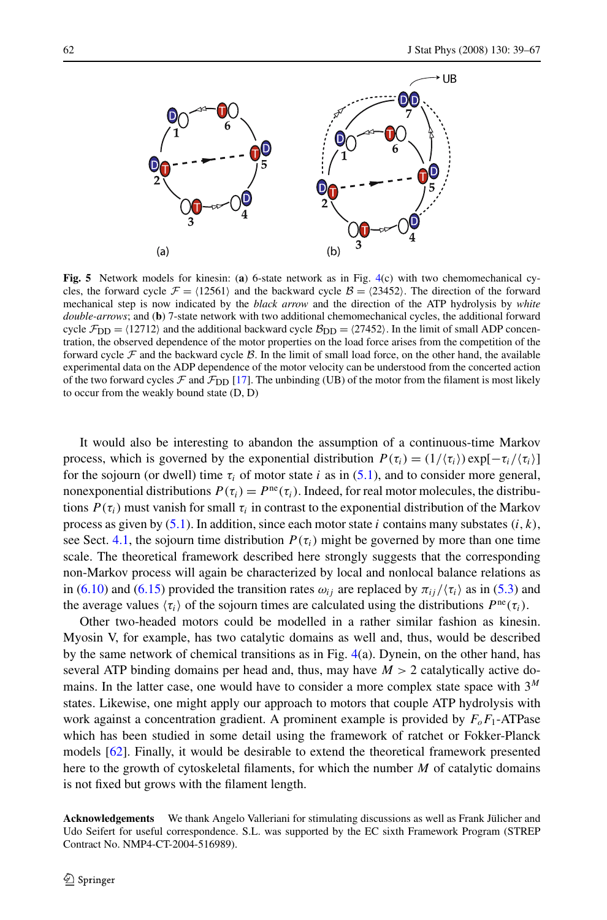<span id="page-23-0"></span>

**Fig. 5** Network models for kinesin: (**a**) 6-state network as in Fig. [4\(](#page-7-0)c) with two chemomechanical cycles, the forward cycle  $\mathcal{F} = \langle 12561 \rangle$  and the backward cycle  $\mathcal{B} = \langle 23452 \rangle$ . The direction of the forward mechanical step is now indicated by the *black arrow* and the direction of the ATP hydrolysis by *white double-arrows*; and (**b**) 7-state network with two additional chemomechanical cycles, the additional forward cycle  $\mathcal{F}_{DD} = \langle 12712 \rangle$  and the additional backward cycle  $\mathcal{B}_{DD} = \langle 27452 \rangle$ . In the limit of small ADP concentration, the observed dependence of the motor properties on the load force arises from the competition of the forward cycle  $\mathcal F$  and the backward cycle  $\mathcal B$ . In the limit of small load force, on the other hand, the available experimental data on the ADP dependence of the motor velocity can be understood from the concerted action of the two forward cycles  $\mathcal F$  and  $\mathcal F_{DD}$  [[17\]](#page-27-0). The unbinding (UB) of the motor from the filament is most likely to occur from the weakly bound state (D, D)

It would also be interesting to abandon the assumption of a continuous-time Markov process, which is governed by the exponential distribution  $P(\tau_i) = (1/\langle \tau_i \rangle) \exp[-\tau_i/\langle \tau_i \rangle]$ for the sojourn (or dwell) time  $\tau_i$  of motor state *i* as in ([5.1\)](#page-11-0), and to consider more general, nonexponential distributions  $P(\tau_i) = P^{ne}(\tau_i)$ . Indeed, for real motor molecules, the distributions  $P(\tau_i)$  must vanish for small  $\tau_i$  in contrast to the exponential distribution of the Markov process as given by [\(5.1\)](#page-11-0). In addition, since each motor state *i* contains many substates *(i,k)*, see Sect. [4.1](#page-9-0), the sojourn time distribution  $P(\tau_i)$  might be governed by more than one time scale. The theoretical framework described here strongly suggests that the corresponding non-Markov process will again be characterized by local and nonlocal balance relations as in ([6.10](#page-14-0)) and [\(6.15\)](#page-14-0) provided the transition rates  $\omega_{ij}$  are replaced by  $\pi_{ij}/\langle \tau_i \rangle$  as in ([5.3](#page-11-0)) and the average values  $\langle \tau_i \rangle$  of the sojourn times are calculated using the distributions  $P^{\text{ne}}(\tau_i)$ .

Other two-headed motors could be modelled in a rather similar fashion as kinesin. Myosin V, for example, has two catalytic domains as well and, thus, would be described by the same network of chemical transitions as in Fig.  $4(a)$  $4(a)$ . Dynein, on the other hand, has several ATP binding domains per head and, thus, may have  $M > 2$  catalytically active domains. In the latter case, one would have to consider a more complex state space with 3*<sup>M</sup>* states. Likewise, one might apply our approach to motors that couple ATP hydrolysis with work against a concentration gradient. A prominent example is provided by  $F_0F_1$ -ATPase which has been studied in some detail using the framework of ratchet or Fokker-Planck models [[62\]](#page-28-0). Finally, it would be desirable to extend the theoretical framework presented here to the growth of cytoskeletal filaments, for which the number *M* of catalytic domains is not fixed but grows with the filament length.

**Acknowledgements** We thank Angelo Valleriani for stimulating discussions as well as Frank Jülicher and Udo Seifert for useful correspondence. S.L. was supported by the EC sixth Framework Program (STREP Contract No. NMP4-CT-2004-516989).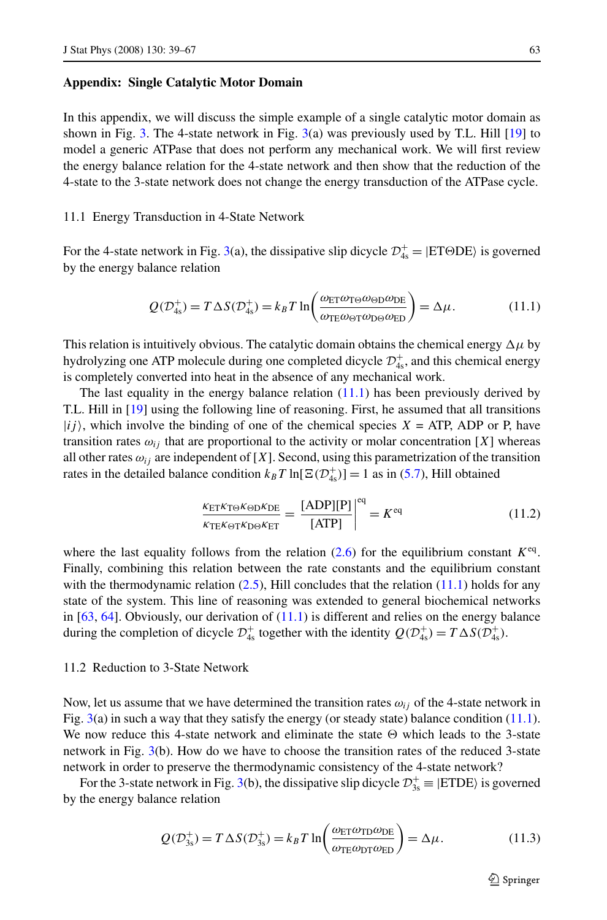## <span id="page-24-0"></span>**Appendix: Single Catalytic Motor Domain**

In this appendix, we will discuss the simple example of a single catalytic motor domain as shown in Fig. [3.](#page-6-0) The 4-state network in Fig.  $3(a)$  $3(a)$  was previously used by T.L. Hill [[19](#page-27-0)] to model a generic ATPase that does not perform any mechanical work. We will first review the energy balance relation for the 4-state network and then show that the reduction of the 4-state to the 3-state network does not change the energy transduction of the ATPase cycle.

#### 11.1 Energy Transduction in 4-State Network

For the 4-state network in Fig. [3\(](#page-6-0)a), the dissipative slip dicycle  $\mathcal{D}_{4s}^+$  = |ETODE) is governed by the energy balance relation

$$
Q(\mathcal{D}_{4s}^+) = T \Delta S(\mathcal{D}_{4s}^+) = k_B T \ln \left( \frac{\omega_{ET} \omega_{T\Theta} \omega_{\Theta D} \omega_{DE}}{\omega_{TE} \omega_{\Theta T} \omega_{D\Theta} \omega_{ED}} \right) = \Delta \mu.
$$
 (11.1)

This relation is intuitively obvious. The catalytic domain obtains the chemical energy  $\Delta \mu$  by hydrolyzing one ATP molecule during one completed dicycle  $\mathcal{D}^+_{4s}$ , and this chemical energy is completely converted into heat in the absence of any mechanical work.

The last equality in the energy balance relation  $(11.1)$  has been previously derived by T.L. Hill in [\[19\]](#page-27-0) using the following line of reasoning. First, he assumed that all transitions  $|ij\rangle$ , which involve the binding of one of the chemical species  $X = ATP$ , ADP or P, have transition rates  $\omega_{ij}$  that are proportional to the activity or molar concentration [X] whereas all other rates  $\omega_{ij}$  are independent of [X]. Second, using this parametrization of the transition rates in the detailed balance condition  $k_B T \ln[\Xi(\mathcal{D}_{4s}^+)] = 1$  as in ([5.7\)](#page-12-0), Hill obtained

$$
\frac{\kappa_{\text{ET}} \kappa_{\text{TO}} \kappa_{\text{OD}} \kappa_{\text{DE}}}{\kappa_{\text{TE}} \kappa_{\text{DT}} \kappa_{\text{DO}} \kappa_{\text{ET}}} = \frac{[\text{ADP}][\text{P}]}{[\text{ATP}]} \bigg|^{eq} = K^{eq} \tag{11.2}
$$

where the last equality follows from the relation ([2.6\)](#page-5-0) for the equilibrium constant  $K^{eq}$ . Finally, combining this relation between the rate constants and the equilibrium constant with the thermodynamic relation  $(2.5)$  $(2.5)$ , Hill concludes that the relation  $(11.1)$  holds for any state of the system. This line of reasoning was extended to general biochemical networks in  $[63, 64]$  $[63, 64]$  $[63, 64]$  $[63, 64]$ . Obviously, our derivation of  $(11.1)$  is different and relies on the energy balance during the completion of dicycle  $\mathcal{D}_{4s}^+$  together with the identity  $Q(\mathcal{D}_{4s}^+) = T \Delta S(\mathcal{D}_{4s}^+)$ .

## 11.2 Reduction to 3-State Network

Now, let us assume that we have determined the transition rates  $\omega_{ij}$  of the 4-state network in Fig.  $3(a)$  $3(a)$  in such a way that they satisfy the energy (or steady state) balance condition (11.1). We now reduce this 4-state network and eliminate the state  $\Theta$  which leads to the 3-state network in Fig. [3](#page-6-0)(b). How do we have to choose the transition rates of the reduced 3-state network in order to preserve the thermodynamic consistency of the 4-state network?

For the [3](#page-6-0)-state network in Fig. 3(b), the dissipative slip dicycle  $\mathcal{D}_{3s}^+$  = |ETDE) is governed by the energy balance relation

$$
Q(\mathcal{D}_{3s}^+) = T \Delta S(\mathcal{D}_{3s}^+) = k_B T \ln \left( \frac{\omega_{\text{ET}} \omega_{\text{TD}} \omega_{\text{DE}}}{\omega_{\text{TE}} \omega_{\text{DT}} \omega_{\text{ED}}} \right) = \Delta \mu. \tag{11.3}
$$

 $\bigcirc$  Springer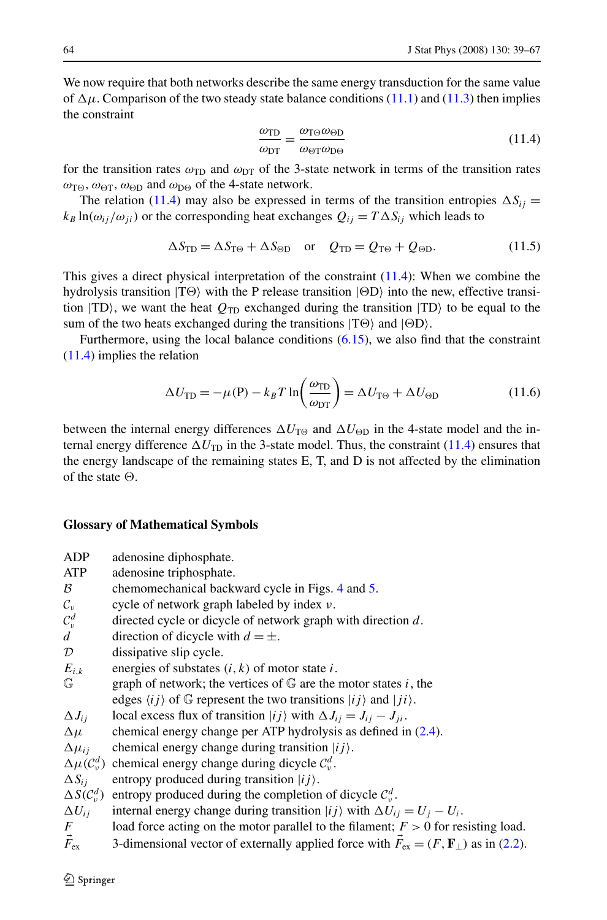We now require that both networks describe the same energy transduction for the same value of  $\Delta \mu$ . Comparison of the two steady state balance conditions [\(11.1\)](#page-24-0) and ([11.3](#page-24-0)) then implies the constraint

$$
\frac{\omega_{\text{TD}}}{\omega_{\text{DT}}} = \frac{\omega_{\text{T}\Theta}\omega_{\text{OD}}}{\omega_{\text{OT}}\omega_{\text{D}\Theta}}
$$
(11.4)

for the transition rates  $\omega_{\text{TD}}$  and  $\omega_{\text{DT}}$  of the 3-state network in terms of the transition rates  $\omega_{\text{TO}}$ ,  $\omega_{\text{OT}}$ ,  $\omega_{\text{OD}}$  and  $\omega_{\text{DO}}$  of the 4-state network.

The relation (11.4) may also be expressed in terms of the transition entropies  $\Delta S_{ij}$  =  $k_B \ln(\omega_{ij}/\omega_{ji})$  or the corresponding heat exchanges  $Q_{ij} = T \Delta S_{ij}$  which leads to

$$
\Delta S_{\rm TD} = \Delta S_{\rm T\Theta} + \Delta S_{\rm \Theta D} \quad \text{or} \quad Q_{\rm TD} = Q_{\rm T\Theta} + Q_{\rm \Theta D}.
$$
 (11.5)

This gives a direct physical interpretation of the constraint (11.4): When we combine the hydrolysis transition  $|T\Theta\rangle$  with the P release transition  $| \Theta D \rangle$  into the new, effective transition  $|TD\rangle$ , we want the heat  $Q_{TD}$  exchanged during the transition  $|TD\rangle$  to be equal to the sum of the two heats exchanged during the transitions  $|T\Theta\rangle$  and  $|\Theta D\rangle$ .

Furthermore, using the local balance conditions [\(6.15\)](#page-14-0), we also find that the constraint (11.4) implies the relation

$$
\Delta U_{\rm TD} = -\mu(\mathbf{P}) - k_B T \ln \left( \frac{\omega_{\rm TD}}{\omega_{\rm DT}} \right) = \Delta U_{\rm T\Theta} + \Delta U_{\rm \Theta D} \tag{11.6}
$$

between the internal energy differences  $\Delta U_{\text{TO}}$  and  $\Delta U_{\text{OD}}$  in the 4-state model and the internal energy difference  $\Delta U_{\text{TD}}$  in the 3-state model. Thus, the constraint (11.4) ensures that the energy landscape of the remaining states E, T, and D is not affected by the elimination of the state  $\Theta$ .

#### **Glossary of Mathematical Symbols**

- ADP adenosine diphosphate.
- ATP adenosine triphosphate.
- $\beta$  chemomechanical backward cycle in Figs. [4](#page-7-0) and [5.](#page-23-0)
- C*<sup>ν</sup>* cycle of network graph labeled by index *ν*.
- $\mathcal{C}^d_\nu$  $\mathcal{C}_{\psi}^{d}$  directed cycle or dicycle of network graph with direction *d*.<br>*d* direction of dicycle with  $d = \pm$ .
- direction of dicycle with  $d = \pm$ .
- $D$  dissipative slip cycle.
- $E_{i,k}$  energies of substates  $(i, k)$  of motor state *i*.
- $\mathbb{G}$  graph of network; the vertices of  $\mathbb{G}$  are the motor states *i*, the edges  $\langle ij \rangle$  of  $\mathbb G$  represent the two transitions  $|ij\rangle$  and  $|ji\rangle$ .
- $\Delta J_{ij}$  local excess flux of transition  $|ij\rangle$  with  $\Delta J_{ij} = J_{ij} J_{ji}$ .
- $\Delta \mu$  chemical energy change per ATP hydrolysis as defined in ([2.4\)](#page-4-0).
- $\Delta \mu_{ij}$  chemical energy change during transition  $|ij\rangle$ .
- $\Delta \mu$ ( $C_v^d$ ) chemical energy change during dicycle  $C_v^d$ .
- $\Delta S_{ij}$  entropy produced during transition  $|ij\rangle$ .
- $\Delta S(\mathcal{C}^d_\nu)$ *ν* $(v<sup>d</sup>)$  entropy produced during the completion of dicycle  $C_v^d$ .
- $\Delta U_{ij}$  internal energy change during transition  $|ij\rangle$  with  $\Delta U_{ij} = U_j U_i$ .
- *F* load force acting on the motor parallel to the filament;  $F > 0$  for resisting load.
- $\vec{F}_{ex}$  3-dimensional vector of externally applied force with  $\vec{F}_{ex} = (F, \mathbf{F}_{\perp})$  as in [\(2.2](#page-4-0)).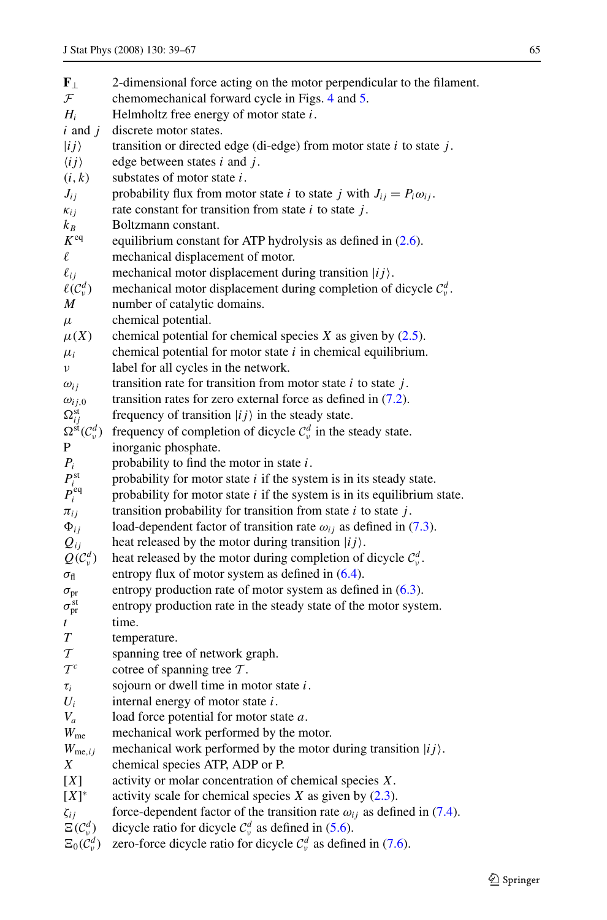| ${\bf F}_{\perp}$                                                 | 2-dimensional force acting on the motor perpendicular to the filament.                         |
|-------------------------------------------------------------------|------------------------------------------------------------------------------------------------|
| $\mathcal{F}$                                                     | chemomechanical forward cycle in Figs. 4 and 5.                                                |
| $H_i$                                                             | Helmholtz free energy of motor state $i$ .                                                     |
| $i$ and $j$                                                       | discrete motor states.                                                                         |
| $\ket{ij}$                                                        | transition or directed edge (di-edge) from motor state $i$ to state $j$ .                      |
| $\langle ij \rangle$                                              | edge between states $i$ and $j$ .                                                              |
| (i, k)                                                            | substates of motor state $i$ .                                                                 |
| $J_{ij}$                                                          | probability flux from motor state <i>i</i> to state <i>j</i> with $J_{ij} = P_i \omega_{ij}$ . |
| $\kappa_{ij}$                                                     | rate constant for transition from state $i$ to state $j$ .                                     |
| $k_B$                                                             | Boltzmann constant.                                                                            |
| K <sup>eq</sup>                                                   | equilibrium constant for ATP hydrolysis as defined in (2.6).                                   |
| $\ell$                                                            | mechanical displacement of motor.                                                              |
| $\ell_{ij}$                                                       | mechanical motor displacement during transition $ ij\rangle$ .                                 |
| $\ell(\mathcal{C}_v^d)$                                           | mechanical motor displacement during completion of dicycle $C_v^d$ .                           |
| M                                                                 | number of catalytic domains.                                                                   |
| $\mu$                                                             | chemical potential.                                                                            |
| $\mu(X)$                                                          | chemical potential for chemical species $X$ as given by $(2.5)$ .                              |
| $\mu_i$                                                           | chemical potential for motor state $i$ in chemical equilibrium.                                |
| ν                                                                 | label for all cycles in the network.                                                           |
| $\omega_{ij}$                                                     | transition rate for transition from motor state $i$ to state $j$ .                             |
| $\omega_{ij,0}$                                                   | transition rates for zero external force as defined in $(7.2)$ .                               |
| $\Omega_{ij}^{\text{st}}$                                         | frequency of transition $ ij\rangle$ in the steady state.                                      |
| $\Omega^{\rm st}(\mathcal{C}^d_{\nu})$                            | frequency of completion of dicycle $C_v^d$ in the steady state.                                |
| P                                                                 | inorganic phosphate.                                                                           |
| $P_i$                                                             | probability to find the motor in state $i$ .                                                   |
| $\begin{array}{c} P_i^{\text{st}} \\ P_i^{\text{eq}} \end{array}$ | probability for motor state $i$ if the system is in its steady state.                          |
|                                                                   | probability for motor state $i$ if the system is in its equilibrium state.                     |
| $\pi_{ij}$                                                        | transition probability for transition from state $i$ to state $j$ .                            |
| $\Phi_{ij}$                                                       | load-dependent factor of transition rate $\omega_{ij}$ as defined in (7.3).                    |
| $Q_{ij}$                                                          | heat released by the motor during transition $ ij\rangle$ .                                    |
| $Q(C_v^d)$                                                        | heat released by the motor during completion of dicycle $C_v^d$ .                              |
| $\sigma_{\rm fl}$                                                 | entropy flux of motor system as defined in $(6.4)$ .                                           |
| $\sigma_{pr}$                                                     | entropy production rate of motor system as defined in $(6.3)$ .                                |
| $\sigma_{\rm pr}^{\rm st}$                                        | entropy production rate in the steady state of the motor system.                               |
| t                                                                 | time.                                                                                          |
| T                                                                 | temperature.                                                                                   |
| $\mathcal T$                                                      | spanning tree of network graph.                                                                |
| $\mathcal{T}^c$                                                   | cotree of spanning tree $T$ .                                                                  |
| $\tau_i$                                                          | sojourn or dwell time in motor state $i$ .                                                     |
| $U_i$                                                             | internal energy of motor state $i$ .                                                           |
| $V_a$                                                             | load force potential for motor state $a$ .                                                     |
| $W_{\text{me}}$                                                   | mechanical work performed by the motor.                                                        |
| $W_{\text{me},ij}$                                                | mechanical work performed by the motor during transition $ ij\rangle$ .                        |
| Χ                                                                 | chemical species ATP, ADP or P.                                                                |
| [X]                                                               | activity or molar concentration of chemical species $X$ .                                      |
| $[X]^*$                                                           | activity scale for chemical species $X$ as given by $(2.3)$ .                                  |
| $\zeta_{ij}$                                                      | force-dependent factor of the transition rate $\omega_{ij}$ as defined in (7.4).               |
| $\Xi(\mathcal{C}_v^d)$                                            | dicycle ratio for dicycle $C_v^d$ as defined in (5.6).                                         |
| $\Xi_0(C_v^d)$                                                    | zero-force dicycle ratio for dicycle $C_v^d$ as defined in (7.6).                              |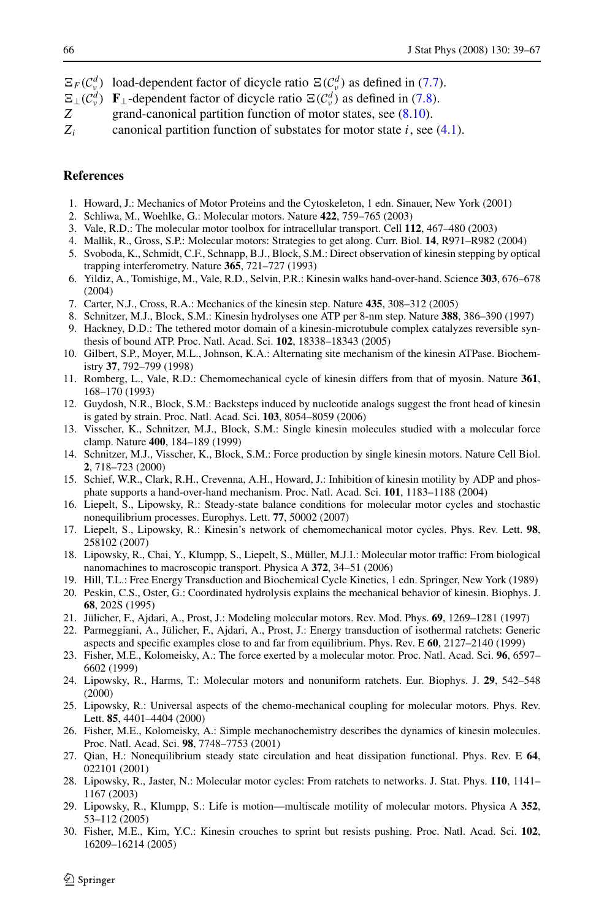- <span id="page-27-0"></span> $\mathbb{E}_F(C_v^d)$  load-dependent factor of dicycle ratio  $\mathbb{E}(C_v^d)$  as defined in [\(7.7\)](#page-15-0).
- $\mathbb{E}_{\perp}(\mathcal{C}_{\nu}^{d})$  **F**<sub>⊥</sub>-dependent factor of dicycle ratio  $\mathbb{E}(\mathcal{C}_{\nu}^{d})$  as defined in [\(7.8](#page-16-0)).
- *Z* grand-canonical partition function of motor states, see  $(8.10)$  $(8.10)$  $(8.10)$ .
- *Zi* canonical partition function of substates for motor state *i*, see [\(4.1](#page-9-0)).

# **References**

- 1. Howard, J.: Mechanics of Motor Proteins and the Cytoskeleton, 1 edn. Sinauer, New York (2001)
- 2. Schliwa, M., Woehlke, G.: Molecular motors. Nature **422**, 759–765 (2003)
- 3. Vale, R.D.: The molecular motor toolbox for intracellular transport. Cell **112**, 467–480 (2003)
- 4. Mallik, R., Gross, S.P.: Molecular motors: Strategies to get along. Curr. Biol. **14**, R971–R982 (2004)
- 5. Svoboda, K., Schmidt, C.F., Schnapp, B.J., Block, S.M.: Direct observation of kinesin stepping by optical trapping interferometry. Nature **365**, 721–727 (1993)
- 6. Yildiz, A., Tomishige, M., Vale, R.D., Selvin, P.R.: Kinesin walks hand-over-hand. Science **303**, 676–678 (2004)
- 7. Carter, N.J., Cross, R.A.: Mechanics of the kinesin step. Nature **435**, 308–312 (2005)
- 8. Schnitzer, M.J., Block, S.M.: Kinesin hydrolyses one ATP per 8-nm step. Nature **388**, 386–390 (1997)
- 9. Hackney, D.D.: The tethered motor domain of a kinesin-microtubule complex catalyzes reversible synthesis of bound ATP. Proc. Natl. Acad. Sci. **102**, 18338–18343 (2005)
- 10. Gilbert, S.P., Moyer, M.L., Johnson, K.A.: Alternating site mechanism of the kinesin ATPase. Biochemistry **37**, 792–799 (1998)
- 11. Romberg, L., Vale, R.D.: Chemomechanical cycle of kinesin differs from that of myosin. Nature **361**, 168–170 (1993)
- 12. Guydosh, N.R., Block, S.M.: Backsteps induced by nucleotide analogs suggest the front head of kinesin is gated by strain. Proc. Natl. Acad. Sci. **103**, 8054–8059 (2006)
- 13. Visscher, K., Schnitzer, M.J., Block, S.M.: Single kinesin molecules studied with a molecular force clamp. Nature **400**, 184–189 (1999)
- 14. Schnitzer, M.J., Visscher, K., Block, S.M.: Force production by single kinesin motors. Nature Cell Biol. **2**, 718–723 (2000)
- 15. Schief, W.R., Clark, R.H., Crevenna, A.H., Howard, J.: Inhibition of kinesin motility by ADP and phosphate supports a hand-over-hand mechanism. Proc. Natl. Acad. Sci. **101**, 1183–1188 (2004)
- 16. Liepelt, S., Lipowsky, R.: Steady-state balance conditions for molecular motor cycles and stochastic nonequilibrium processes. Europhys. Lett. **77**, 50002 (2007)
- 17. Liepelt, S., Lipowsky, R.: Kinesin's network of chemomechanical motor cycles. Phys. Rev. Lett. **98**, 258102 (2007)
- 18. Lipowsky, R., Chai, Y., Klumpp, S., Liepelt, S., Müller, M.J.I.: Molecular motor traffic: From biological nanomachines to macroscopic transport. Physica A **372**, 34–51 (2006)
- 19. Hill, T.L.: Free Energy Transduction and Biochemical Cycle Kinetics, 1 edn. Springer, New York (1989)
- 20. Peskin, C.S., Oster, G.: Coordinated hydrolysis explains the mechanical behavior of kinesin. Biophys. J. **68**, 202S (1995)
- 21. Jülicher, F., Ajdari, A., Prost, J.: Modeling molecular motors. Rev. Mod. Phys. **69**, 1269–1281 (1997)
- 22. Parmeggiani, A., Jülicher, F., Ajdari, A., Prost, J.: Energy transduction of isothermal ratchets: Generic aspects and specific examples close to and far from equilibrium. Phys. Rev. E **60**, 2127–2140 (1999)
- 23. Fisher, M.E., Kolomeisky, A.: The force exerted by a molecular motor. Proc. Natl. Acad. Sci. **96**, 6597– 6602 (1999)
- 24. Lipowsky, R., Harms, T.: Molecular motors and nonuniform ratchets. Eur. Biophys. J. **29**, 542–548 (2000)
- 25. Lipowsky, R.: Universal aspects of the chemo-mechanical coupling for molecular motors. Phys. Rev. Lett. **85**, 4401–4404 (2000)
- 26. Fisher, M.E., Kolomeisky, A.: Simple mechanochemistry describes the dynamics of kinesin molecules. Proc. Natl. Acad. Sci. **98**, 7748–7753 (2001)
- 27. Qian, H.: Nonequilibrium steady state circulation and heat dissipation functional. Phys. Rev. E **64**, 022101 (2001)
- 28. Lipowsky, R., Jaster, N.: Molecular motor cycles: From ratchets to networks. J. Stat. Phys. **110**, 1141– 1167 (2003)
- 29. Lipowsky, R., Klumpp, S.: Life is motion—multiscale motility of molecular motors. Physica A **352**, 53–112 (2005)
- 30. Fisher, M.E., Kim, Y.C.: Kinesin crouches to sprint but resists pushing. Proc. Natl. Acad. Sci. **102**, 16209–16214 (2005)